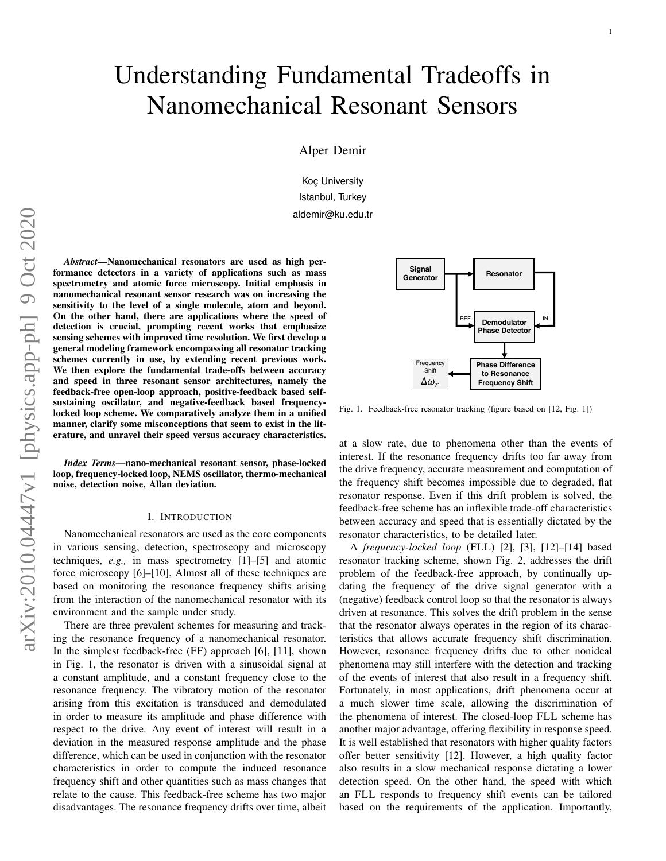# Understanding Fundamental Tradeoffs in Nanomechanical Resonant Sensors

Alper Demir

Koç University Istanbul, Turkey aldemir@ku.edu.tr

*Abstract*—Nanomechanical resonators are used as high performance detectors in a variety of applications such as mass spectrometry and atomic force microscopy. Initial emphasis in nanomechanical resonant sensor research was on increasing the sensitivity to the level of a single molecule, atom and beyond. On the other hand, there are applications where the speed of detection is crucial, prompting recent works that emphasize sensing schemes with improved time resolution. We first develop a general modeling framework encompassing all resonator tracking schemes currently in use, by extending recent previous work. We then explore the fundamental trade-offs between accuracy and speed in three resonant sensor architectures, namely the feedback-free open-loop approach, positive-feedback based selfsustaining oscillator, and negative-feedback based frequencylocked loop scheme. We comparatively analyze them in a unified manner, clarify some misconceptions that seem to exist in the literature, and unravel their speed versus accuracy characteristics.

*Index Terms*—nano-mechanical resonant sensor, phase-locked loop, frequency-locked loop, NEMS oscillator, thermo-mechanical noise, detection noise, Allan deviation.

#### I. INTRODUCTION

Nanomechanical resonators are used as the core components in various sensing, detection, spectroscopy and microscopy techniques, *e.g.,* in mass spectrometry [\[1\]](#page-12-0)–[\[5\]](#page-13-0) and atomic force microscopy [\[6\]](#page-13-1)–[\[10\]](#page-13-2), Almost all of these techniques are based on monitoring the resonance frequency shifts arising from the interaction of the nanomechanical resonator with its environment and the sample under study.

There are three prevalent schemes for measuring and tracking the resonance frequency of a nanomechanical resonator. In the simplest feedback-free (FF) approach [\[6\]](#page-13-1), [\[11\]](#page-13-3), shown in Fig. [1,](#page-0-0) the resonator is driven with a sinusoidal signal at a constant amplitude, and a constant frequency close to the resonance frequency. The vibratory motion of the resonator arising from this excitation is transduced and demodulated in order to measure its amplitude and phase difference with respect to the drive. Any event of interest will result in a deviation in the measured response amplitude and the phase difference, which can be used in conjunction with the resonator characteristics in order to compute the induced resonance frequency shift and other quantities such as mass changes that relate to the cause. This feedback-free scheme has two major disadvantages. The resonance frequency drifts over time, albeit



<span id="page-0-0"></span>Fig. 1. Feedback-free resonator tracking (figure based on [\[12,](#page-13-4) Fig. 1])

at a slow rate, due to phenomena other than the events of interest. If the resonance frequency drifts too far away from the drive frequency, accurate measurement and computation of the frequency shift becomes impossible due to degraded, flat resonator response. Even if this drift problem is solved, the feedback-free scheme has an inflexible trade-off characteristics between accuracy and speed that is essentially dictated by the resonator characteristics, to be detailed later.

A *frequency-locked loop* (FLL) [\[2\]](#page-13-5), [\[3\]](#page-13-6), [\[12\]](#page-13-4)–[\[14\]](#page-13-7) based resonator tracking scheme, shown Fig. [2,](#page-1-0) addresses the drift problem of the feedback-free approach, by continually updating the frequency of the drive signal generator with a (negative) feedback control loop so that the resonator is always driven at resonance. This solves the drift problem in the sense that the resonator always operates in the region of its characteristics that allows accurate frequency shift discrimination. However, resonance frequency drifts due to other nonideal phenomena may still interfere with the detection and tracking of the events of interest that also result in a frequency shift. Fortunately, in most applications, drift phenomena occur at a much slower time scale, allowing the discrimination of the phenomena of interest. The closed-loop FLL scheme has another major advantage, offering flexibility in response speed. It is well established that resonators with higher quality factors offer better sensitivity [\[12\]](#page-13-4). However, a high quality factor also results in a slow mechanical response dictating a lower detection speed. On the other hand, the speed with which an FLL responds to frequency shift events can be tailored based on the requirements of the application. Importantly,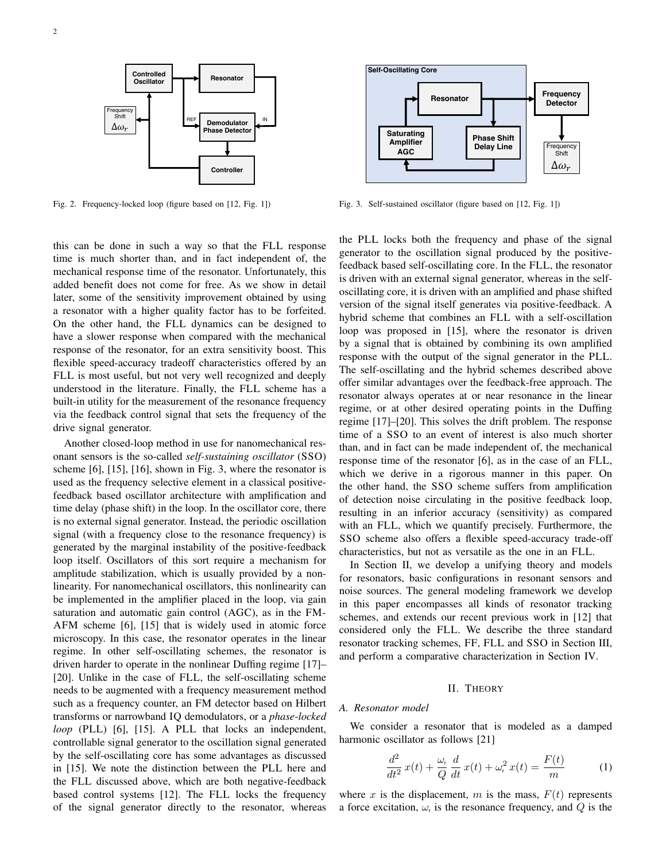

<span id="page-1-0"></span>Fig. 2. Frequency-locked loop (figure based on [\[12,](#page-13-4) Fig. 1])

this can be done in such a way so that the FLL response time is much shorter than, and in fact independent of, the mechanical response time of the resonator. Unfortunately, this added benefit does not come for free. As we show in detail later, some of the sensitivity improvement obtained by using a resonator with a higher quality factor has to be forfeited. On the other hand, the FLL dynamics can be designed to have a slower response when compared with the mechanical response of the resonator, for an extra sensitivity boost. This flexible speed-accuracy tradeoff characteristics offered by an FLL is most useful, but not very well recognized and deeply understood in the literature. Finally, the FLL scheme has a built-in utility for the measurement of the resonance frequency via the feedback control signal that sets the frequency of the drive signal generator.

Another closed-loop method in use for nanomechanical resonant sensors is the so-called *self-sustaining oscillator* (SSO) scheme [\[6\]](#page-13-1), [\[15\]](#page-13-8), [\[16\]](#page-13-9), shown in Fig. [3,](#page-1-1) where the resonator is used as the frequency selective element in a classical positivefeedback based oscillator architecture with amplification and time delay (phase shift) in the loop. In the oscillator core, there is no external signal generator. Instead, the periodic oscillation signal (with a frequency close to the resonance frequency) is generated by the marginal instability of the positive-feedback loop itself. Oscillators of this sort require a mechanism for amplitude stabilization, which is usually provided by a nonlinearity. For nanomechanical oscillators, this nonlinearity can be implemented in the amplifier placed in the loop, via gain saturation and automatic gain control (AGC), as in the FM-AFM scheme [\[6\]](#page-13-1), [\[15\]](#page-13-8) that is widely used in atomic force microscopy. In this case, the resonator operates in the linear regime. In other self-oscillating schemes, the resonator is driven harder to operate in the nonlinear Duffing regime [\[17\]](#page-13-10)– [\[20\]](#page-13-11). Unlike in the case of FLL, the self-oscillating scheme needs to be augmented with a frequency measurement method such as a frequency counter, an FM detector based on Hilbert transforms or narrowband IQ demodulators, or a *phase-locked loop* (PLL) [\[6\]](#page-13-1), [\[15\]](#page-13-8). A PLL that locks an independent, controllable signal generator to the oscillation signal generated by the self-oscillating core has some advantages as discussed in [\[15\]](#page-13-8). We note the distinction between the PLL here and the FLL discussed above, which are both negative-feedback based control systems [\[12\]](#page-13-4). The FLL locks the frequency of the signal generator directly to the resonator, whereas



<span id="page-1-1"></span>Fig. 3. Self-sustained oscillator (figure based on [\[12,](#page-13-4) Fig. 1])

the PLL locks both the frequency and phase of the signal generator to the oscillation signal produced by the positivefeedback based self-oscillating core. In the FLL, the resonator is driven with an external signal generator, whereas in the selfoscillating core, it is driven with an amplified and phase shifted version of the signal itself generates via positive-feedback. A hybrid scheme that combines an FLL with a self-oscillation loop was proposed in [\[15\]](#page-13-8), where the resonator is driven by a signal that is obtained by combining its own amplified response with the output of the signal generator in the PLL. The self-oscillating and the hybrid schemes described above offer similar advantages over the feedback-free approach. The resonator always operates at or near resonance in the linear regime, or at other desired operating points in the Duffing regime [\[17\]](#page-13-10)–[\[20\]](#page-13-11). This solves the drift problem. The response time of a SSO to an event of interest is also much shorter than, and in fact can be made independent of, the mechanical response time of the resonator [\[6\]](#page-13-1), as in the case of an FLL, which we derive in a rigorous manner in this paper. On the other hand, the SSO scheme suffers from amplification of detection noise circulating in the positive feedback loop, resulting in an inferior accuracy (sensitivity) as compared with an FLL, which we quantify precisely. Furthermore, the SSO scheme also offers a flexible speed-accuracy trade-off characteristics, but not as versatile as the one in an FLL.

In Section [II,](#page-1-2) we develop a unifying theory and models for resonators, basic configurations in resonant sensors and noise sources. The general modeling framework we develop in this paper encompasses all kinds of resonator tracking schemes, and extends our recent previous work in [\[12\]](#page-13-4) that considered only the FLL. We describe the three standard resonator tracking schemes, FF, FLL and SSO in Section [III,](#page-6-0) and perform a comparative characterization in Section [IV.](#page-8-0)

## II. THEORY

#### <span id="page-1-4"></span><span id="page-1-2"></span>*A. Resonator model*

We consider a resonator that is modeled as a damped harmonic oscillator as follows [\[21\]](#page-13-12)

<span id="page-1-3"></span>
$$
\frac{d^2}{dt^2}x(t) + \frac{\omega_t}{Q}\frac{d}{dt}x(t) + \omega_t^2 x(t) = \frac{F(t)}{m}
$$
 (1)

where x is the displacement, m is the mass,  $F(t)$  represents a force excitation,  $\omega_r$  is the resonance frequency, and Q is the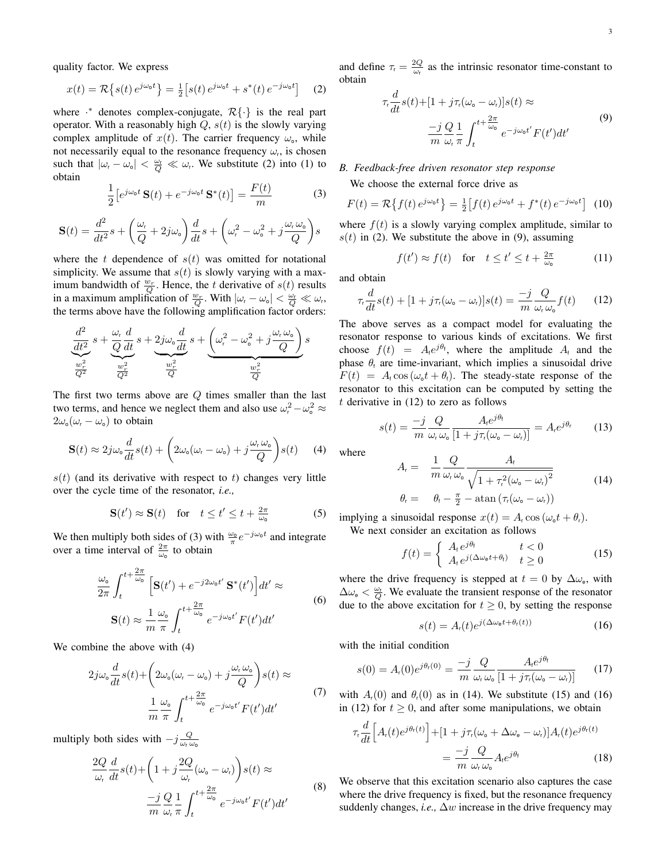quality factor. We express

<span id="page-2-0"></span>
$$
x(t) = \mathcal{R}\left\{s(t) e^{j\omega_0 t}\right\} = \frac{1}{2} \left[s(t) e^{j\omega_0 t} + s^*(t) e^{-j\omega_0 t}\right]
$$
 (2)

where  $\cdot^*$  denotes complex-conjugate,  $\mathcal{R}\{\cdot\}$  is the real part operator. With a reasonably high  $Q$ ,  $s(t)$  is the slowly varying complex amplitude of  $x(t)$ . The carrier frequency  $\omega_{0}$ , while not necessarily equal to the resonance frequency  $\omega_r$ , is chosen such that  $|\omega_r - \omega_o| < \frac{\omega_r}{Q} \ll \omega_r$ . We substitute [\(2\)](#page-2-0) into [\(1\)](#page-1-3) to obtain

<span id="page-2-1"></span>
$$
\frac{1}{2} \left[ e^{j\omega_0 t} \mathbf{S}(t) + e^{-j\omega_0 t} \mathbf{S}^*(t) \right] = \frac{F(t)}{m}
$$
 (3)

<span id="page-2-2"></span>
$$
\mathbf{S}(t) = \frac{d^2}{dt^2} s + \left(\frac{\omega_r}{Q} + 2j\omega_o\right) \frac{d}{dt} s + \left(\omega_r^2 - \omega_o^2 + j\frac{\omega_r\omega_o}{Q}\right) s
$$

where the t dependence of  $s(t)$  was omitted for notational simplicity. We assume that  $s(t)$  is slowly varying with a maximum bandwidth of  $\frac{w_r}{Q}$ . Hence, the t derivative of  $s(t)$  results in a maximum amplification of  $\frac{w_r}{Q}$ . With  $|\omega_r - \omega_o| < \frac{\omega_t}{Q} \ll \omega_r$ , the terms above have the following amplification factor orders:

$$
\underbrace{\frac{d^2}{dt^2}}_{\frac{w_r^2}{Q^2}}s+\underbrace{\frac{\omega_r}{Q}\frac{d}{dt}}_{\frac{w_r^2}{Q^2}}s+\underbrace{2j\omega_o\frac{d}{dt}}_{\frac{w_r^2}{Q}}s+\underbrace{\left(\omega_r^2-\omega_o^2+j\frac{\omega_r\omega_o}{Q}\right)}_{\frac{w_r^2}{Q}}s
$$

The first two terms above are  $Q$  times smaller than the last two terms, and hence we neglect them and also use  $\omega_r^2 - \omega_o^2 \approx$  $2\omega_0(\omega_r - \omega_0)$  to obtain

$$
\mathbf{S}(t) \approx 2j\omega_{\text{o}}\frac{d}{dt}s(t) + \left(2\omega_{\text{o}}(\omega_{\text{r}} - \omega_{\text{o}}) + j\frac{\omega_{\text{r}}\omega_{\text{o}}}{Q}\right)s(t) \tag{4}
$$

 $s(t)$  (and its derivative with respect to t) changes very little over the cycle time of the resonator, *i.e.,*

$$
\mathbf{S}(t') \approx \mathbf{S}(t) \quad \text{for} \quad t \le t' \le t + \frac{2\pi}{\omega_0} \tag{5}
$$

We then multiply both sides of [\(3\)](#page-2-1) with  $\frac{\omega_0}{\pi}e^{-j\omega_0 t}$  and integrate over a time interval of  $\frac{2\pi}{\omega_0}$  to obtain

$$
\frac{\omega_{\circ}}{2\pi} \int_{t}^{t + \frac{2\pi}{\omega_{\circ}}} \left[ \mathbf{S}(t') + e^{-j2\omega_{\circ}t'} \mathbf{S}^{*}(t') \right] dt' \approx
$$
\n
$$
\mathbf{S}(t) \approx \frac{1}{m} \frac{\omega_{\circ}}{\pi} \int_{t}^{t + \frac{2\pi}{\omega_{\circ}}} e^{-j\omega_{\circ}t'} F(t') dt'
$$
\n(6)

We combine the above with [\(4\)](#page-2-2)

$$
2j\omega_o \frac{d}{dt} s(t) + \left(2\omega_o(\omega_r - \omega_o) + j\frac{\omega_r\omega_o}{Q}\right)s(t) \approx \frac{1}{m} \frac{\omega_o}{\pi} \int_t^{t + \frac{2\pi}{\omega_o}} e^{-j\omega_o t'} F(t') dt'
$$
 (7)

multiply both sides with  $-j\frac{Q}{\omega_r\omega_0}$ 

$$
\frac{2Q}{\omega_t} \frac{d}{dt} s(t) + \left(1 + j \frac{2Q}{\omega_t} (\omega_0 - \omega_t) \right) s(t) \approx
$$
\n
$$
-j \frac{Q}{m} \frac{1}{\omega_t} \int_t^{t + \frac{2\pi}{\omega_0}} e^{-j\omega_0 t'} F(t') dt'
$$
\n(8)

and define  $\tau_r = \frac{2Q}{\omega_r}$  as the intrinsic resonator time-constant to obtain

<span id="page-2-3"></span>
$$
\tau_r \frac{d}{dt} s(t) + [1 + j\tau_r(\omega_o - \omega_r)]s(t) \approx
$$
\n
$$
\frac{-j}{m} \frac{Q}{\omega_r} \frac{1}{\pi} \int_t^{t + \frac{2\pi}{\omega_o}} e^{-j\omega_o t'} F(t') dt'
$$
\n(9)

# *B. Feedback-free driven resonator step response*

We choose the external force drive as

$$
F(t) = \mathcal{R}\left\{f(t)e^{j\omega_0 t}\right\} = \frac{1}{2}\left[f(t)e^{j\omega_0 t} + f^*(t)e^{-j\omega_0 t}\right]
$$
 (10)

where  $f(t)$  is a slowly varying complex amplitude, similar to  $s(t)$  in [\(2\)](#page-2-0). We substitute the above in [\(9\)](#page-2-3), assuming

$$
f(t') \approx f(t)
$$
 for  $t \le t' \le t + \frac{2\pi}{\omega_0}$  (11)

and obtain

<span id="page-2-4"></span>
$$
\tau_r \frac{d}{dt} s(t) + [1 + j\tau_r(\omega_\text{o} - \omega_r)]s(t) = \frac{-j}{m} \frac{Q}{\omega_r \omega_\text{o}} f(t) \qquad (12)
$$

The above serves as a compact model for evaluating the resonator response to various kinds of excitations. We first choose  $f(t) = A_i e^{j\theta_t}$ , where the amplitude  $A_i$  and the phase  $\theta_t$  are time-invariant, which implies a sinusoidal drive  $F(t) = A<sub>f</sub> \cos{(\omega_0 t + \theta_f)}$ . The steady-state response of the resonator to this excitation can be computed by setting the  $t$  derivative in  $(12)$  to zero as follows

$$
s(t) = \frac{-j}{m} \frac{Q}{\omega_{r} \omega_{\text{o}}} \frac{A_{r} e^{j\theta_{\text{t}}}}{[1 + j\tau_{r}(\omega_{\text{o}} - \omega_{r})]} = A_{r} e^{j\theta_{\text{r}}} \tag{13}
$$

where

<span id="page-2-5"></span>
$$
A_{r} = \frac{1}{m} \frac{Q}{\omega_{r} \omega_{o}} \frac{A_{t}}{\sqrt{1 + \tau_{r}^{2} (\omega_{o} - \omega_{r})^{2}}}
$$
\n
$$
\theta_{r} = \theta_{t} - \frac{\pi}{2} - \operatorname{atan} (\tau_{r}(\omega_{o} - \omega_{r}))
$$
\n(14)

implying a sinusoidal response  $x(t) = A_r \cos{(\omega_0 t + \theta_r)}$ .

We next consider an excitation as follows

<span id="page-2-6"></span>
$$
f(t) = \begin{cases} A_t e^{j\theta_t} & t < 0\\ A_t e^{j(\Delta\omega_0 t + \theta_t)} & t \ge 0 \end{cases}
$$
 (15)

where the drive frequency is stepped at  $t = 0$  by  $\Delta \omega_e$ , with  $\Delta\omega_e < \frac{\omega_r}{\Omega}$ . We evaluate the transient response of the resonator  $\Delta \omega_e \leq Q$ . We evaluate the transfer response of the response<br>due to the above excitation for  $t \geq 0$ , by setting the response

<span id="page-2-9"></span><span id="page-2-7"></span>
$$
s(t) = A_{r}(t)e^{j(\Delta\omega_{e}t + \theta_{r}(t))}
$$
\n(16)

with the initial condition

<span id="page-2-8"></span>
$$
s(0) = A_r(0)e^{j\theta_r(0)} = \frac{-j}{m} \frac{Q}{\omega_r \omega_o} \frac{A_r e^{j\theta_t}}{[1 + j\tau_r(\omega_o - \omega_r)]}
$$
(17)

with  $A_r(0)$  and  $\theta_r(0)$  as in [\(14\)](#page-2-5). We substitute [\(15\)](#page-2-6) and [\(16\)](#page-2-7) in [\(12\)](#page-2-4) for  $t \geq 0$ , and after some manipulations, we obtain

$$
\tau_r \frac{d}{dt} \Big[ A_r(t) e^{j\theta_r(t)} \Big] + [1 + j\tau_r(\omega_o + \Delta \omega_e - \omega_r)] A_r(t) e^{j\theta_r(t)} \n= \frac{-j}{m} \frac{Q}{\omega_r \omega_o} A_r e^{j\theta_t}
$$
\n(18)

We observe that this excitation scenario also captures the case where the drive frequency is fixed, but the resonance frequency suddenly changes, *i.e.*,  $\Delta w$  increase in the drive frequency may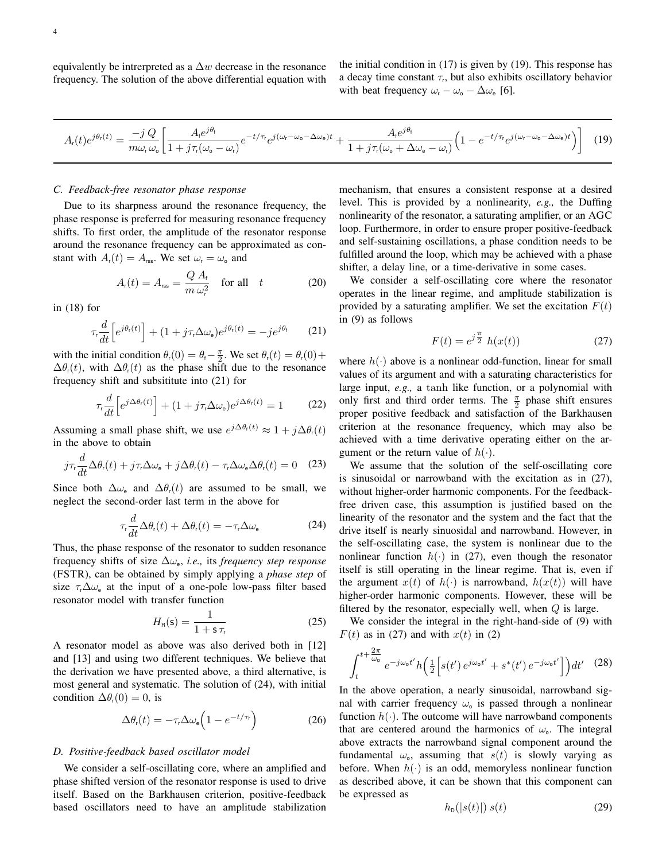equivalently be intrerpreted as a  $\Delta w$  decrease in the resonance frequency. The solution of the above differential equation with the initial condition in [\(17\)](#page-2-8) is given by [\(19\)](#page-3-0). This response has a decay time constant  $\tau_r$ , but also exhibits oscillatory behavior with beat frequency  $\omega_{\rm r} - \omega_{\rm o} - \Delta \omega_{\rm e}$  [\[6\]](#page-13-1).

<span id="page-3-0"></span>
$$
A_{\rm r}(t)e^{j\theta_{\rm r}(t)} = \frac{-jQ}{m\omega_{\rm r}\omega_{\rm o}} \bigg[ \frac{A_{\rm r}e^{j\theta_{\rm t}}}{1+j\tau_{\rm r}(\omega_{\rm o}-\omega_{\rm r})}e^{-t/\tau_{\rm r}}e^{j(\omega_{\rm r}-\omega_{\rm o}-\Delta\omega_{\rm e})t} + \frac{A_{\rm r}e^{j\theta_{\rm t}}}{1+j\tau_{\rm r}(\omega_{\rm o}+\Delta\omega_{\rm e}-\omega_{\rm r})} \bigg(1-e^{-t/\tau_{\rm r}}e^{j(\omega_{\rm r}-\omega_{\rm o}-\Delta\omega_{\rm e})t}\bigg) \bigg] \tag{19}
$$

## <span id="page-3-4"></span>*C. Feedback-free resonator phase response*

Due to its sharpness around the resonance frequency, the phase response is preferred for measuring resonance frequency shifts. To first order, the amplitude of the resonator response around the resonance frequency can be approximated as constant with  $A_r(t) = A_{\text{rss}}$ . We set  $\omega_r = \omega_o$  and

<span id="page-3-6"></span>
$$
A_{r}(t) = A_{\text{rss}} = \frac{Q A_{t}}{m \,\omega_{r}^{2}} \quad \text{for all} \quad t \tag{20}
$$

in [\(18\)](#page-2-9) for

<span id="page-3-1"></span>
$$
\tau_{\rm r} \frac{d}{dt} \left[ e^{j\theta_{\rm r}(t)} \right] + (1 + j\tau_{\rm r} \Delta \omega_{\rm e}) e^{j\theta_{\rm r}(t)} = -j e^{j\theta_{\rm f}} \tag{21}
$$

with the initial condition  $\theta_r(0) = \theta_r - \frac{\pi}{2}$ . We set  $\theta_r(t) = \theta_r(0) +$  $\Delta\theta_r(t)$ , with  $\Delta\theta_r(t)$  as the phase shift due to the resonance frequency shift and subsititute into [\(21\)](#page-3-1) for

<span id="page-3-5"></span>
$$
\tau_r \frac{d}{dt} \left[ e^{j\Delta\theta_r(t)} \right] + (1 + j\tau_r \Delta\omega_e) e^{j\Delta\theta_r(t)} = 1 \tag{22}
$$

Assuming a small phase shift, we use  $e^{j\Delta\theta_r(t)} \approx 1 + j\Delta\theta_r(t)$ in the above to obtain

$$
j\tau_r \frac{d}{dt} \Delta \theta_r(t) + j\tau_r \Delta \omega_e + j\Delta \theta_r(t) - \tau_r \Delta \omega_e \Delta \theta_r(t) = 0 \quad (23)
$$

Since both  $\Delta\omega_e$  and  $\Delta\theta_r(t)$  are assumed to be small, we neglect the second-order last term in the above for

<span id="page-3-2"></span>
$$
\tau_r \frac{d}{dt} \Delta \theta_r(t) + \Delta \theta_r(t) = -\tau_r \Delta \omega_e \tag{24}
$$

Thus, the phase response of the resonator to sudden resonance frequency shifts of size  $\Delta\omega_e$ , *i.e.*, its *frequency step response* (FSTR), can be obtained by simply applying a *phase step* of size  $\tau_r \Delta \omega_e$  at the input of a one-pole low-pass filter based resonator model with transfer function

<span id="page-3-7"></span>
$$
H_{\rm R}(\mathsf{s}) = \frac{1}{1 + \mathsf{s}\,\tau_{\rm r}}\tag{25}
$$

A resonator model as above was also derived both in [\[12\]](#page-13-4) and [\[13\]](#page-13-13) and using two different techniques. We believe that the derivation we have presented above, a third alternative, is most general and systematic. The solution of [\(24\)](#page-3-2), with initial condition  $\Delta \theta_{r}(0) = 0$ , is

<span id="page-3-8"></span>
$$
\Delta \theta_{\rm r}(t) = -\tau_{\rm r} \Delta \omega_{\rm e} \Big( 1 - e^{-t/\tau_{\rm r}} \Big) \tag{26}
$$

## *D. Positive-feedback based oscillator model*

We consider a self-oscillating core, where an amplified and phase shifted version of the resonator response is used to drive itself. Based on the Barkhausen criterion, positive-feedback based oscillators need to have an amplitude stabilization

mechanism, that ensures a consistent response at a desired level. This is provided by a nonlinearity, *e.g.,* the Duffing nonlinearity of the resonator, a saturating amplifier, or an AGC loop. Furthermore, in order to ensure proper positive-feedback and self-sustaining oscillations, a phase condition needs to be fulfilled around the loop, which may be achieved with a phase shifter, a delay line, or a time-derivative in some cases.

We consider a self-oscillating core where the resonator operates in the linear regime, and amplitude stabilization is provided by a saturating amplifier. We set the excitation  $F(t)$ in [\(9\)](#page-2-3) as follows

<span id="page-3-3"></span>
$$
F(t) = e^{j\frac{\pi}{2}} h(x(t))
$$
\n(27)

where  $h(\cdot)$  above is a nonlinear odd-function, linear for small values of its argument and with a saturating characteristics for large input, *e.g.,* a tanh like function, or a polynomial with only first and third order terms. The  $\frac{\pi}{2}$  phase shift ensures proper positive feedback and satisfaction of the Barkhausen criterion at the resonance frequency, which may also be achieved with a time derivative operating either on the argument or the return value of  $h(\cdot)$ .

We assume that the solution of the self-oscillating core is sinusoidal or narrowband with the excitation as in [\(27\)](#page-3-3), without higher-order harmonic components. For the feedbackfree driven case, this assumption is justified based on the linearity of the resonator and the system and the fact that the drive itself is nearly sinuosidal and narrowband. However, in the self-oscillating case, the system is nonlinear due to the nonlinear function  $h(\cdot)$  in [\(27\)](#page-3-3), even though the resonator itself is still operating in the linear regime. That is, even if the argument  $x(t)$  of  $h(\cdot)$  is narrowband,  $h(x(t))$  will have higher-order harmonic components. However, these will be filtered by the resonator, especially well, when  $Q$  is large.

We consider the integral in the right-hand-side of [\(9\)](#page-2-3) with  $F(t)$  as in [\(27\)](#page-3-3) and with  $x(t)$  in [\(2\)](#page-2-0)

$$
\int_{t}^{t+\frac{2\pi}{\omega_{\mathbf{0}}}} e^{-j\omega_{\mathbf{0}}t'} h\left(\frac{1}{2}\left[s(t')\,e^{j\omega_{\mathbf{0}}t'} + s^*(t')\,e^{-j\omega_{\mathbf{0}}t'}\right]\right)dt'
$$
 (28)

In the above operation, a nearly sinusoidal, narrowband signal with carrier frequency  $\omega_0$  is passed through a nonlinear function  $h(\cdot)$ . The outcome will have narrowband components that are centered around the harmonics of  $\omega$ . The integral above extracts the narrowband signal component around the fundamental  $\omega_0$ , assuming that  $s(t)$  is slowly varying as before. When  $h(\cdot)$  is an odd, memoryless nonlinear function as described above, it can be shown that this component can be expressed as

$$
h_{\mathsf{D}}(|s(t)|) \; s(t) \tag{29}
$$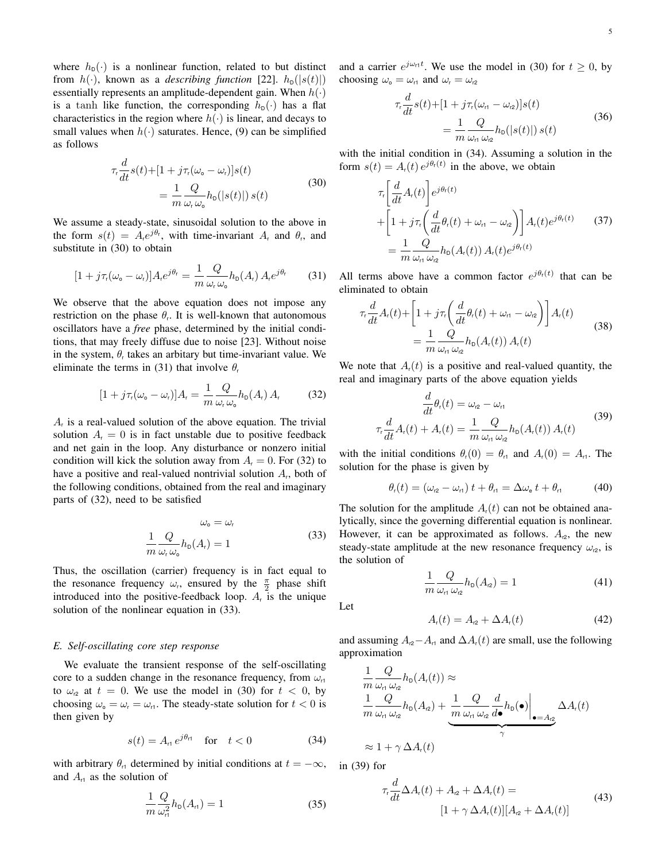where  $h_{\text{D}}(\cdot)$  is a nonlinear function, related to but distinct from  $h(\cdot)$ , known as a *describing function* [\[22\]](#page-13-14).  $h_{\text{D}}(|s(t)|)$ essentially represents an amplitude-dependent gain. When  $h(\cdot)$ is a tanh like function, the corresponding  $h_{\text{D}}(\cdot)$  has a flat characteristics in the region where  $h(\cdot)$  is linear, and decays to small values when  $h(\cdot)$  saturates. Hence, [\(9\)](#page-2-3) can be simplified as follows

<span id="page-4-0"></span>
$$
\tau_r \frac{d}{dt} s(t) + [1 + j\tau_r(\omega_o - \omega_r)]s(t)
$$
  
= 
$$
\frac{1}{m} \frac{Q}{\omega_r \omega_o} h_o(|s(t)|) s(t)
$$
 (30)

We assume a steady-state, sinusoidal solution to the above in the form  $s(t) = A_t e^{j\theta_t}$ , with time-invariant  $A_t$  and  $\theta_t$ , and substitute in [\(30\)](#page-4-0) to obtain

<span id="page-4-1"></span>
$$
[1 + j\tau_{\rm r}(\omega_{\rm o} - \omega_{\rm r})]A_{\rm r}e^{j\theta_{\rm r}} = \frac{1}{m}\frac{Q}{\omega_{\rm r}\,\omega_{\rm o}}h_{\rm D}(A_{\rm r})A_{\rm r}e^{j\theta_{\rm r}} \qquad (31)
$$

We observe that the above equation does not impose any restriction on the phase  $\theta_r$ . It is well-known that autonomous oscillators have a *free* phase, determined by the initial conditions, that may freely diffuse due to noise [\[23\]](#page-13-15). Without noise in the system,  $\theta_r$  takes an arbitary but time-invariant value. We eliminate the terms in [\(31\)](#page-4-1) that involve  $\theta_r$ 

<span id="page-4-2"></span>
$$
[1 + j\tau_{\rm r}(\omega_{\rm o} - \omega_{\rm r})]A_{\rm r} = \frac{1}{m} \frac{Q}{\omega_{\rm r} \omega_{\rm o}} h_{\rm p}(A_{\rm r}) A_{\rm r}
$$
(32)

 $A<sub>r</sub>$  is a real-valued solution of the above equation. The trivial solution  $A_r = 0$  is in fact unstable due to positive feedback and net gain in the loop. Any disturbance or nonzero initial condition will kick the solution away from  $A<sub>r</sub> = 0$ . For [\(32\)](#page-4-2) to have a positive and real-valued nontrivial solution  $A_t$ , both of the following conditions, obtained from the real and imaginary parts of [\(32\)](#page-4-2), need to be satisfied

<span id="page-4-3"></span>
$$
\omega_{\text{o}} = \omega_{\text{r}}
$$

$$
\frac{1}{m} \frac{Q}{\omega_{\text{r}} \omega_{\text{o}}} h_{\text{D}}(A_{\text{r}}) = 1
$$
(33)

Thus, the oscillation (carrier) frequency is in fact equal to the resonance frequency  $\omega_r$ , ensured by the  $\frac{\pi}{2}$  phase shift introduced into the positive-feedback loop.  $A_r$  is the unique solution of the nonlinear equation in [\(33\)](#page-4-3).

## <span id="page-4-8"></span>*E. Self-oscillating core step response*

We evaluate the transient response of the self-oscillating core to a sudden change in the resonance frequency, from  $\omega_{11}$ to  $\omega_{12}$  at  $t = 0$ . We use the model in [\(30\)](#page-4-0) for  $t < 0$ , by choosing  $\omega_{\text{o}} = \omega_{\text{r}} = \omega_{\text{r1}}$ . The steady-state solution for  $t < 0$  is then given by

<span id="page-4-4"></span>
$$
s(t) = A_{\rm rt} e^{j\theta_{\rm rt}} \quad \text{for} \quad t < 0 \tag{34}
$$

with arbitrary  $\theta_{r1}$  determined by initial conditions at  $t = -\infty$ , and  $A_{r1}$  as the solution of

$$
\frac{1}{m}\frac{Q}{\omega_{\rm r}^2}h_{\rm D}(A_{\rm r})=1\tag{35}
$$

and a carrier  $e^{j\omega_{\text{r1}}t}$ . We use the model in [\(30\)](#page-4-0) for  $t \ge 0$ , by choosing  $\omega_0 = \omega_{r1}$  and  $\omega_r = \omega_{r2}$ 

$$
\tau_r \frac{d}{dt} s(t) + [1 + j\tau_r(\omega_{rt} - \omega_{r2})]s(t)
$$
  
= 
$$
\frac{1}{m} \frac{Q}{\omega_{rt} \omega_{r2}} h_0(|s(t)|) s(t)
$$
(36)

with the initial condition in [\(34\)](#page-4-4). Assuming a solution in the form  $s(t) = A_r(t) e^{j\theta_r(t)}$  in the above, we obtain

$$
\tau_r \left[ \frac{d}{dt} A_r(t) \right] e^{j\theta_r(t)} + \left[ 1 + j\tau_r \left( \frac{d}{dt} \theta_r(t) + \omega_{r1} - \omega_{r2} \right) \right] A_r(t) e^{j\theta_r(t)} \qquad (37)
$$
\n
$$
= \frac{1}{m} \frac{Q}{\omega_{r1} \omega_{r2}} h_0(A_r(t)) A_r(t) e^{j\theta_r(t)}
$$

All terms above have a common factor  $e^{j\theta_r(t)}$  that can be eliminated to obtain

<span id="page-4-6"></span>
$$
\tau_r \frac{d}{dt} A_r(t) + \left[ 1 + j\tau_r \left( \frac{d}{dt} \theta_r(t) + \omega_{r1} - \omega_{r2} \right) \right] A_r(t)
$$
\n
$$
= \frac{1}{m} \frac{Q}{\omega_{r1} \omega_{r2}} h_0(A_r(t)) A_r(t)
$$
\n(38)

We note that  $A<sub>i</sub>(t)$  is a positive and real-valued quantity, the real and imaginary parts of the above equation yields

<span id="page-4-5"></span>
$$
\frac{d}{dt}\theta_r(t) = \omega_{r2} - \omega_{r1}
$$
\n
$$
\tau_r \frac{d}{dt}A_r(t) + A_r(t) = \frac{1}{m} \frac{Q}{\omega_{r1} \omega_{r2}} h_0(A_r(t)) A_r(t)
$$
\n(39)

with the initial conditions  $\theta_r(0) = \theta_{r1}$  and  $A_r(0) = A_{r1}$ . The solution for the phase is given by

<span id="page-4-9"></span>
$$
\theta_{\rm r}(t) = (\omega_{\rm r2} - \omega_{\rm r1}) t + \theta_{\rm r1} = \Delta \omega_{\rm e} t + \theta_{\rm r1} \tag{40}
$$

The solution for the amplitude  $A<sub>r</sub>(t)$  can not be obtained analytically, since the governing differential equation is nonlinear. However, it can be approximated as follows.  $A_{12}$ , the new steady-state amplitude at the new resonance frequency  $\omega_{12}$ , is the solution of

$$
\frac{1}{m}\frac{Q}{\omega_{\text{r1}}\,\omega_{\text{r2}}}h_{\text{D}}(A_{\text{r2}}) = 1\tag{41}
$$

Let

<span id="page-4-7"></span>
$$
A_{\mathsf{r}}(t) = A_{\mathsf{r}2} + \Delta A_{\mathsf{r}}(t) \tag{42}
$$

and assuming  $A_{r2}-A_{r1}$  and  $\Delta A_r(t)$  are small, use the following approximation

$$
\frac{1}{m} \frac{Q}{\omega_{\text{r1}} \omega_{\text{r2}}} h_{\text{D}}(A_{\text{r}}(t)) \approx \frac{1}{m} \frac{Q}{\omega_{\text{r1}} \omega_{\text{r2}}} h_{\text{D}}(A_{\text{r2}}) + \underbrace{\frac{1}{m} \frac{Q}{\omega_{\text{r1}} \omega_{\text{r2}}} \frac{d}{d\bullet} h_{\text{D}}(\bullet)}_{\gamma} \bigg|_{\bullet = A_{\text{r2}}} \Delta A_{\text{r}}(t)
$$
\n
$$
\approx 1 + \gamma \Delta A_{\text{r}}(t)
$$

in [\(39\)](#page-4-5) for

$$
\tau_r \frac{d}{dt} \Delta A_r(t) + A_{r2} + \Delta A_r(t) =
$$
  
[1 + \gamma \Delta A\_r(t)][A\_{r2} + \Delta A\_r(t)] (43)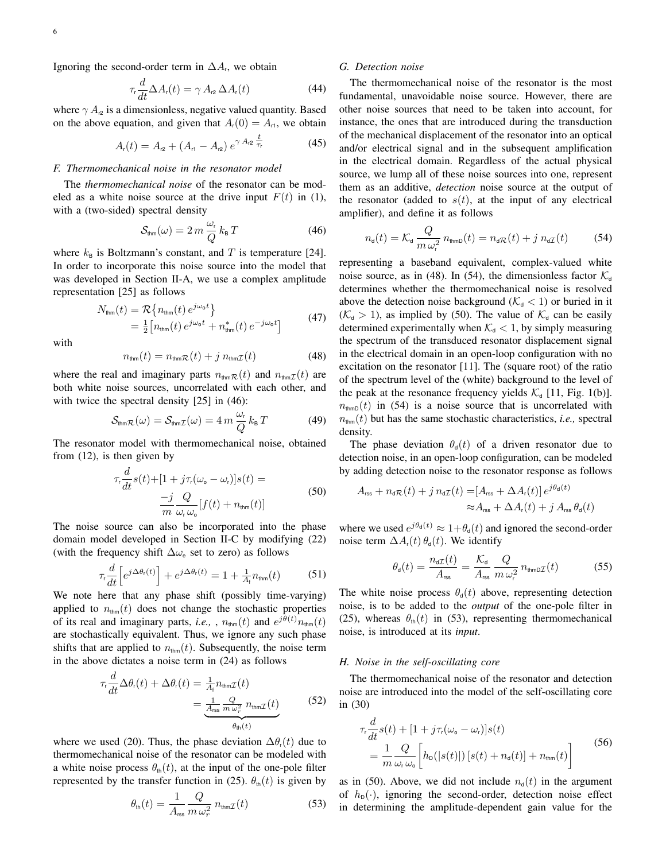Ignoring the second-order term in  $\Delta A_i$ , we obtain

<span id="page-5-6"></span>
$$
\tau_{\rm r} \frac{d}{dt} \Delta A_{\rm r}(t) = \gamma A_{\rm r2} \Delta A_{\rm r}(t) \tag{44}
$$

where  $\gamma A_{12}$  is a dimensionless, negative valued quantity. Based on the above equation, and given that  $A_r(0) = A_{r1}$ , we obtain

$$
A_{r}(t) = A_{r2} + (A_{r1} - A_{r2}) e^{\gamma A_{r2} \frac{t}{\tau_{r}}}
$$
 (45)

#### *F. Thermomechanical noise in the resonator model*

The *thermomechanical noise* of the resonator can be modeled as a white noise source at the drive input  $F(t)$  in [\(1\)](#page-1-3), with a (two-sided) spectral density

<span id="page-5-0"></span>
$$
S_{\text{thm}}(\omega) = 2 m \frac{\omega_{\text{r}}}{Q} k_{\text{B}} T \tag{46}
$$

where  $k_{\text{B}}$  is Boltzmann's constant, and T is temperature [\[24\]](#page-13-16). In order to incorporate this noise source into the model that was developed in Section [II-A,](#page-1-4) we use a complex amplitude representation [\[25\]](#page-13-17) as follows

$$
N_{\text{thm}}(t) = \mathcal{R}\left\{n_{\text{thm}}(t) e^{j\omega_0 t}\right\}
$$
  
=  $\frac{1}{2}\left[n_{\text{thm}}(t) e^{j\omega_0 t} + n_{\text{thm}}^*(t) e^{-j\omega_0 t}\right]$  (47)

with

<span id="page-5-1"></span>
$$
n_{\text{thm}}(t) = n_{\text{thm}}\mathcal{R}(t) + j n_{\text{thm}}\mathcal{I}(t)
$$
 (48)

where the real and imaginary parts  $n_{\text{thm}}\mathcal{R}(t)$  and  $n_{\text{thm}}\mathcal{I}(t)$  are both white noise sources, uncorrelated with each other, and with twice the spectral density [\[25\]](#page-13-17) in [\(46\)](#page-5-0):

$$
S_{\text{thmR}}(\omega) = S_{\text{thmZ}}(\omega) = 4 m \frac{\omega_r}{Q} k_B T \qquad (49)
$$

The resonator model with thermomechanical noise, obtained from [\(12\)](#page-2-4), is then given by

<span id="page-5-3"></span>
$$
\tau_r \frac{d}{dt} s(t) + [1 + j\tau_r(\omega_o - \omega_r)]s(t) =
$$
  

$$
\frac{-j}{m} \frac{Q}{\omega_r \omega_o} [f(t) + n_{\text{thm}}(t)]
$$
(50)

The noise source can also be incorporated into the phase domain model developed in Section [II-C](#page-3-4) by modifying [\(22\)](#page-3-5) (with the frequency shift  $\Delta\omega_e$  set to zero) as follows

$$
\tau_r \frac{d}{dt} \left[ e^{j \Delta \theta_r(t)} \right] + e^{j \Delta \theta_r(t)} = 1 + \frac{1}{A_t} n_{\text{thm}}(t) \tag{51}
$$

We note here that any phase shift (possibly time-varying) applied to  $n_{\text{thm}}(t)$  does not change the stochastic properties of its real and imaginary parts, *i.e.*, ,  $n_{\text{thm}}(t)$  and  $e^{j\theta(t)}n_{\text{thm}}(t)$ are stochastically equivalent. Thus, we ignore any such phase shifts that are applied to  $n_{\text{thm}}(t)$ . Subsequently, the noise term in the above dictates a noise term in [\(24\)](#page-3-2) as follows

$$
\tau_r \frac{d}{dt} \Delta \theta_r(t) + \Delta \theta_r(t) = \frac{1}{A_t} n_{\text{thm}} \tau(t)
$$
  
= 
$$
\underbrace{\frac{1}{A_{\text{rss}}} \frac{Q}{m \omega_r^2} n_{\text{thm}} \tau(t)}_{\theta_{\text{th}}(t)}
$$
(52)

where we used [\(20\)](#page-3-6). Thus, the phase deviation  $\Delta\theta_r(t)$  due to thermomechanical noise of the resonator can be modeled with a white noise process  $\theta_{\text{th}}(t)$ , at the input of the one-pole filter represented by the transfer function in [\(25\)](#page-3-7).  $\theta_{\text{th}}(t)$  is given by

<span id="page-5-4"></span>
$$
\theta_{\rm th}(t) = \frac{1}{A_{\rm rss}} \frac{Q}{m \,\omega_r^2} \, n_{\rm thm} \mathcal{I}(t) \tag{53}
$$

## *G. Detection noise*

The thermomechanical noise of the resonator is the most fundamental, unavoidable noise source. However, there are other noise sources that need to be taken into account, for instance, the ones that are introduced during the transduction of the mechanical displacement of the resonator into an optical and/or electrical signal and in the subsequent amplification in the electrical domain. Regardless of the actual physical source, we lump all of these noise sources into one, represent them as an additive, *detection* noise source at the output of the resonator (added to  $s(t)$ , at the input of any electrical amplifier), and define it as follows

<span id="page-5-2"></span>
$$
n_{\mathsf{d}}(t) = \mathcal{K}_{\mathsf{d}} \frac{Q}{m \,\omega_{\mathsf{r}}^2} \, n_{\text{thmD}}(t) = n_{\mathsf{d}} \mathcal{R}(t) + j \, n_{\mathsf{d}} \mathcal{I}(t) \tag{54}
$$

representing a baseband equivalent, complex-valued white noise source, as in [\(48\)](#page-5-1). In [\(54\)](#page-5-2), the dimensionless factor  $\mathcal{K}_{d}$ determines whether the thermomechanical noise is resolved above the detection noise background ( $\mathcal{K}_{d}$  < 1) or buried in it  $(\mathcal{K}_{d} > 1)$ , as implied by [\(50\)](#page-5-3). The value of  $\mathcal{K}_{d}$  can be easily determined experimentally when  $K_d$  < 1, by simply measuring the spectrum of the transduced resonator displacement signal in the electrical domain in an open-loop configuration with no excitation on the resonator [\[11\]](#page-13-3). The (square root) of the ratio of the spectrum level of the (white) background to the level of the peak at the resonance frequency yields  $\mathcal{K}_{d}$  [\[11,](#page-13-3) Fig. 1(b)].  $n_{\text{thmD}}(t)$  in [\(54\)](#page-5-2) is a noise source that is uncorrelated with  $n_{\text{thm}}(t)$  but has the same stochastic characteristics, *i.e.*, spectral density.

The phase deviation  $\theta_{d}(t)$  of a driven resonator due to detection noise, in an open-loop configuration, can be modeled by adding detection noise to the resonator response as follows

<span id="page-5-7"></span>
$$
A_{\rm rss} + n_{\rm d}\mathcal{R}(t) + j n_{\rm d}\mathcal{I}(t) = [A_{\rm rss} + \Delta A_{\rm r}(t)] e^{j\theta_{\rm d}(t)}
$$
  

$$
\approx A_{\rm rss} + \Delta A_{\rm r}(t) + j A_{\rm rss} \theta_{\rm d}(t)
$$

where we used  $e^{j\theta_d(t)} \approx 1 + \theta_d(t)$  and ignored the second-order noise term  $\Delta A_t(t) \theta_d(t)$ . We identify

$$
\theta_{\rm d}(t) = \frac{n_{\rm d}\tau(t)}{A_{\rm rss}} = \frac{\mathcal{K}_{\rm d}}{A_{\rm rss}} \frac{Q}{m\,\omega_{\rm r}^2} \, n_{\rm thmD}\tau(t) \tag{55}
$$

The white noise process  $\theta_d(t)$  above, representing detection noise, is to be added to the *output* of the one-pole filter in [\(25\)](#page-3-7), whereas  $\theta_{\text{th}}(t)$  in [\(53\)](#page-5-4), representing thermomechanical noise, is introduced at its *input*.

#### *H. Noise in the self-oscillating core*

The thermomechanical noise of the resonator and detection noise are introduced into the model of the self-oscillating core in [\(30\)](#page-4-0)

<span id="page-5-5"></span>
$$
\tau_r \frac{d}{dt} s(t) + [1 + j\tau_r(\omega_o - \omega_r)]s(t)
$$
\n
$$
= \frac{1}{m} \frac{Q}{\omega_r \omega_o} \left[ h_o(|s(t)|) [s(t) + n_a(t)] + n_{\text{thm}}(t) \right]
$$
\n(56)

as in [\(50\)](#page-5-3). Above, we did not include  $n<sub>q</sub>(t)$  in the argument of  $h_{\text{D}}(\cdot)$ , ignoring the second-order, detection noise effect in determining the amplitude-dependent gain value for the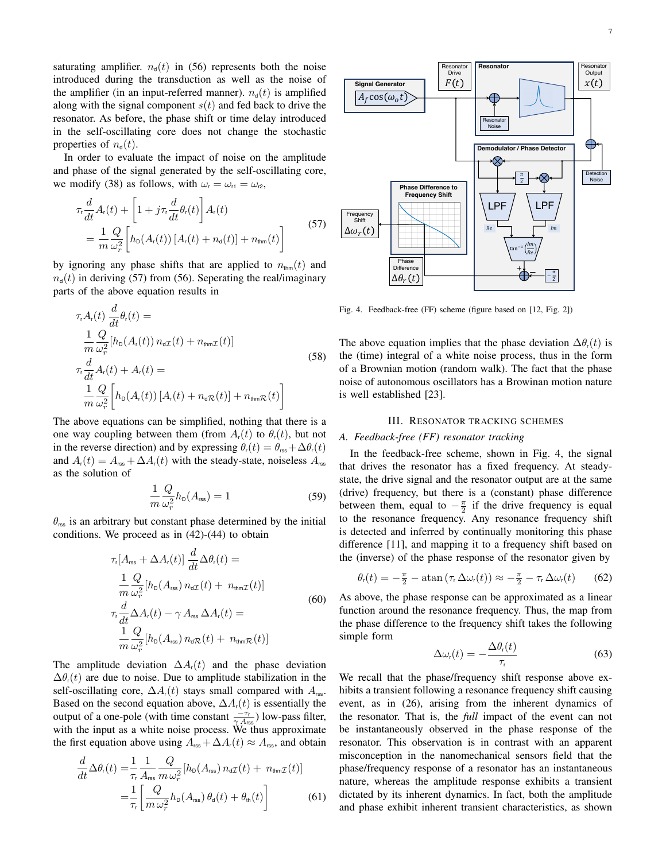saturating amplifier.  $n_d(t)$  in [\(56\)](#page-5-5) represents both the noise introduced during the transduction as well as the noise of the amplifier (in an input-referred manner).  $n_d(t)$  is amplified along with the signal component  $s(t)$  and fed back to drive the resonator. As before, the phase shift or time delay introduced in the self-oscillating core does not change the stochastic properties of  $n_{d}(t)$ .

In order to evaluate the impact of noise on the amplitude and phase of the signal generated by the self-oscillating core, we modify [\(38\)](#page-4-6) as follows, with  $\omega_r = \omega_{r1} = \omega_{r2}$ ,

<span id="page-6-1"></span>
$$
\tau_r \frac{d}{dt} A_r(t) + \left[ 1 + j\tau_r \frac{d}{dt} \theta_r(t) \right] A_r(t)
$$
\n
$$
= \frac{1}{m} \frac{Q}{\omega_r^2} \left[ h_D(A_r(t)) \left[ A_r(t) + n_a(t) \right] + n_{\text{thm}}(t) \right]
$$
\n(57)

by ignoring any phase shifts that are applied to  $n_{\text{thm}}(t)$  and  $n_{d}(t)$  in deriving [\(57\)](#page-6-1) from [\(56\)](#page-5-5). Seperating the real/imaginary parts of the above equation results in

$$
\tau_{r}A_{r}(t) \frac{d}{dt}\theta_{r}(t) =
$$
\n
$$
\frac{1}{m} \frac{Q}{\omega_{r}^{2}}[h_{D}(A_{r}(t)) n_{d}t(t) + n_{\text{thm}}t(t)]
$$
\n
$$
\tau_{r} \frac{d}{dt}A_{r}(t) + A_{r}(t) =
$$
\n
$$
\frac{1}{m} \frac{Q}{\omega_{r}^{2}}\left[h_{D}(A_{r}(t)) [A_{r}(t) + n_{d}\pi(t)] + n_{\text{thm}}t(t)\right]
$$
\n(58)

The above equations can be simplified, nothing that there is a one way coupling between them (from  $A_r(t)$  to  $\theta_r(t)$ , but not in the reverse direction) and by expressing  $\theta_r(t) = \theta_{\text{rss}} + \Delta \theta_r(t)$ and  $A_r(t) = A_{\text{rss}} + \Delta A_r(t)$  with the steady-state, noiseless  $A_{\text{rss}}$ as the solution of

$$
\frac{1}{m}\frac{Q}{\omega_r^2}h_{\text{D}}(A_{\text{rss}}) = 1\tag{59}
$$

 $\theta_{\rm rss}$  is an arbitrary but constant phase determined by the initial conditions. We proceed as in [\(42\)](#page-4-7)-[\(44\)](#page-5-6) to obtain

$$
\tau_{\rm r}[A_{\rm rss} + \Delta A_{\rm r}(t)] \frac{d}{dt} \Delta \theta_{\rm r}(t) =
$$
\n
$$
\frac{1}{m} \frac{Q}{\omega_{\rm r}^2} [h_{\rm D}(A_{\rm rss}) n_{\rm d} \tau(t) + n_{\rm thm} \tau(t)]
$$
\n
$$
\tau_{\rm r} \frac{d}{dt} \Delta A_{\rm r}(t) - \gamma A_{\rm rs} \Delta A_{\rm r}(t) =
$$
\n
$$
\frac{1}{m} \frac{Q}{\omega_{\rm r}^2} [h_{\rm D}(A_{\rm rss}) n_{\rm d} \tau(t) + n_{\rm thm} \tau(t)]
$$
\n(60)

The amplitude deviation  $\Delta A_t(t)$  and the phase deviation  $\Delta\theta_r(t)$  are due to noise. Due to amplitude stabilization in the self-oscillating core,  $\Delta A_r(t)$  stays small compared with  $A_{\rm rss}$ . Based on the second equation above,  $\Delta A_r(t)$  is essentially the output of a one-pole (with time constant  $\frac{-\tau_r}{\gamma A_{\text{rss}}}\)$  low-pass filter, with the input as a white noise process. We thus approximate the first equation above using  $A_{\text{rss}} + \Delta A_{\text{r}}(t) \approx A_{\text{rss}}$ , and obtain

$$
\frac{d}{dt}\Delta\theta_r(t) = \frac{1}{\tau_r} \frac{1}{A_{\rm res}} \frac{Q}{m \,\omega_r^2} [h_{\rm D}(A_{\rm res}) n_{\rm d} \tau(t) + n_{\rm thm} \tau(t)]
$$
\n
$$
= \frac{1}{\tau_r} \left[ \frac{Q}{m \,\omega_r^2} h_{\rm D}(A_{\rm res}) \,\theta_{\rm d}(t) + \theta_{\rm th}(t) \right] \tag{61}
$$



<span id="page-6-2"></span>Fig. 4. Feedback-free (FF) scheme (figure based on [\[12,](#page-13-4) Fig. 2])

The above equation implies that the phase deviation  $\Delta\theta_r(t)$  is the (time) integral of a white noise process, thus in the form of a Brownian motion (random walk). The fact that the phase noise of autonomous oscillators has a Browinan motion nature is well established [\[23\]](#page-13-15).

#### III. RESONATOR TRACKING SCHEMES

# <span id="page-6-0"></span>*A. Feedback-free (FF) resonator tracking*

In the feedback-free scheme, shown in Fig. [4,](#page-6-2) the signal that drives the resonator has a fixed frequency. At steadystate, the drive signal and the resonator output are at the same (drive) frequency, but there is a (constant) phase difference between them, equal to  $-\frac{\pi}{2}$  if the drive frequency is equal to the resonance frequency. Any resonance frequency shift is detected and inferred by continually monitoring this phase difference [\[11\]](#page-13-3), and mapping it to a frequency shift based on the (inverse) of the phase response of the resonator given by

$$
\theta_{r}(t) = -\frac{\pi}{2} - \operatorname{atan}(\tau_{r} \Delta \omega_{r}(t)) \approx -\frac{\pi}{2} - \tau_{r} \Delta \omega_{r}(t) \qquad (62)
$$

As above, the phase response can be approximated as a linear function around the resonance frequency. Thus, the map from the phase difference to the frequency shift takes the following simple form

<span id="page-6-3"></span>
$$
\Delta \omega_{\rm r}(t) = -\frac{\Delta \theta_{\rm r}(t)}{\tau_{\rm r}} \tag{63}
$$

We recall that the phase/frequency shift response above exhibits a transient following a resonance frequency shift causing event, as in [\(26\)](#page-3-8), arising from the inherent dynamics of the resonator. That is, the *full* impact of the event can not be instantaneously observed in the phase response of the resonator. This observation is in contrast with an apparent misconception in the nanomechanical sensors field that the phase/frequency response of a resonator has an instantaneous nature, whereas the amplitude response exhibits a transient dictated by its inherent dynamics. In fact, both the amplitude and phase exhibit inherent transient characteristics, as shown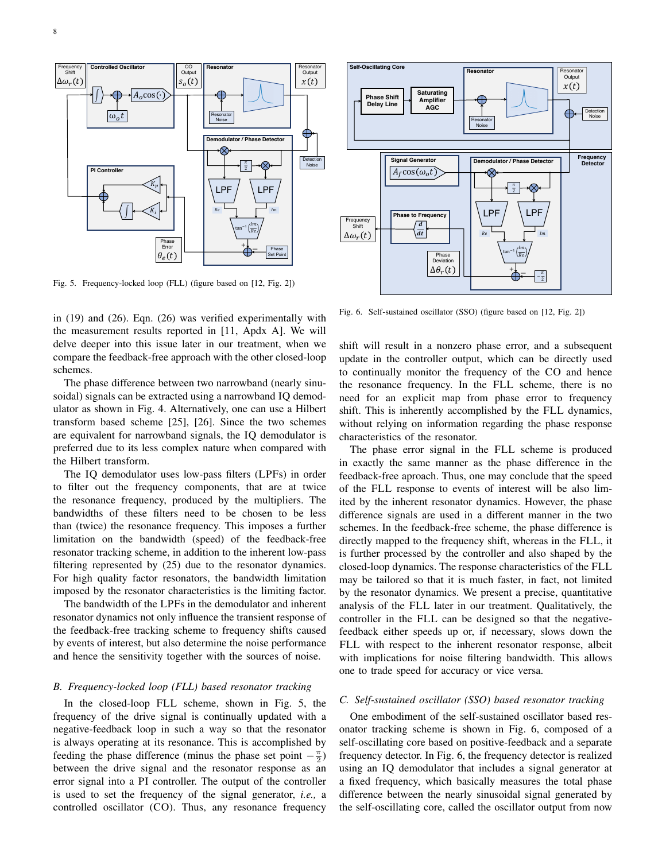

<span id="page-7-0"></span>Fig. 5. Frequency-locked loop (FLL) (figure based on [\[12,](#page-13-4) Fig. 2])

in [\(19\)](#page-3-0) and [\(26\)](#page-3-8). Eqn. [\(26\)](#page-3-8) was verified experimentally with the measurement results reported in [\[11,](#page-13-3) Apdx A]. We will delve deeper into this issue later in our treatment, when we compare the feedback-free approach with the other closed-loop schemes.

The phase difference between two narrowband (nearly sinusoidal) signals can be extracted using a narrowband IQ demodulator as shown in Fig. [4.](#page-6-2) Alternatively, one can use a Hilbert transform based scheme [\[25\]](#page-13-17), [\[26\]](#page-13-18). Since the two schemes are equivalent for narrowband signals, the IQ demodulator is preferred due to its less complex nature when compared with the Hilbert transform.

The IQ demodulator uses low-pass filters (LPFs) in order to filter out the frequency components, that are at twice the resonance frequency, produced by the multipliers. The bandwidths of these filters need to be chosen to be less than (twice) the resonance frequency. This imposes a further limitation on the bandwidth (speed) of the feedback-free resonator tracking scheme, in addition to the inherent low-pass filtering represented by [\(25\)](#page-3-7) due to the resonator dynamics. For high quality factor resonators, the bandwidth limitation imposed by the resonator characteristics is the limiting factor.

The bandwidth of the LPFs in the demodulator and inherent resonator dynamics not only influence the transient response of the feedback-free tracking scheme to frequency shifts caused by events of interest, but also determine the noise performance and hence the sensitivity together with the sources of noise.

## *B. Frequency-locked loop (FLL) based resonator tracking*

In the closed-loop FLL scheme, shown in Fig. [5,](#page-7-0) the frequency of the drive signal is continually updated with a negative-feedback loop in such a way so that the resonator is always operating at its resonance. This is accomplished by feeding the phase difference (minus the phase set point  $-\frac{\pi}{2}$ ) between the drive signal and the resonator response as an error signal into a PI controller. The output of the controller is used to set the frequency of the signal generator, *i.e.,* a controlled oscillator (CO). Thus, any resonance frequency



<span id="page-7-1"></span>Fig. 6. Self-sustained oscillator (SSO) (figure based on [\[12,](#page-13-4) Fig. 2])

shift will result in a nonzero phase error, and a subsequent update in the controller output, which can be directly used to continually monitor the frequency of the CO and hence the resonance frequency. In the FLL scheme, there is no need for an explicit map from phase error to frequency shift. This is inherently accomplished by the FLL dynamics, without relying on information regarding the phase response characteristics of the resonator.

The phase error signal in the FLL scheme is produced in exactly the same manner as the phase difference in the feedback-free aproach. Thus, one may conclude that the speed of the FLL response to events of interest will be also limited by the inherent resonator dynamics. However, the phase difference signals are used in a different manner in the two schemes. In the feedback-free scheme, the phase difference is directly mapped to the frequency shift, whereas in the FLL, it is further processed by the controller and also shaped by the closed-loop dynamics. The response characteristics of the FLL may be tailored so that it is much faster, in fact, not limited by the resonator dynamics. We present a precise, quantitative analysis of the FLL later in our treatment. Qualitatively, the controller in the FLL can be designed so that the negativefeedback either speeds up or, if necessary, slows down the FLL with respect to the inherent resonator response, albeit with implications for noise filtering bandwidth. This allows one to trade speed for accuracy or vice versa.

## *C. Self-sustained oscillator (SSO) based resonator tracking*

One embodiment of the self-sustained oscillator based resonator tracking scheme is shown in Fig. [6,](#page-7-1) composed of a self-oscillating core based on positive-feedback and a separate frequency detector. In Fig. [6,](#page-7-1) the frequency detector is realized using an IQ demodulator that includes a signal generator at a fixed frequency, which basically measures the total phase difference between the nearly sinusoidal signal generated by the self-oscillating core, called the oscillator output from now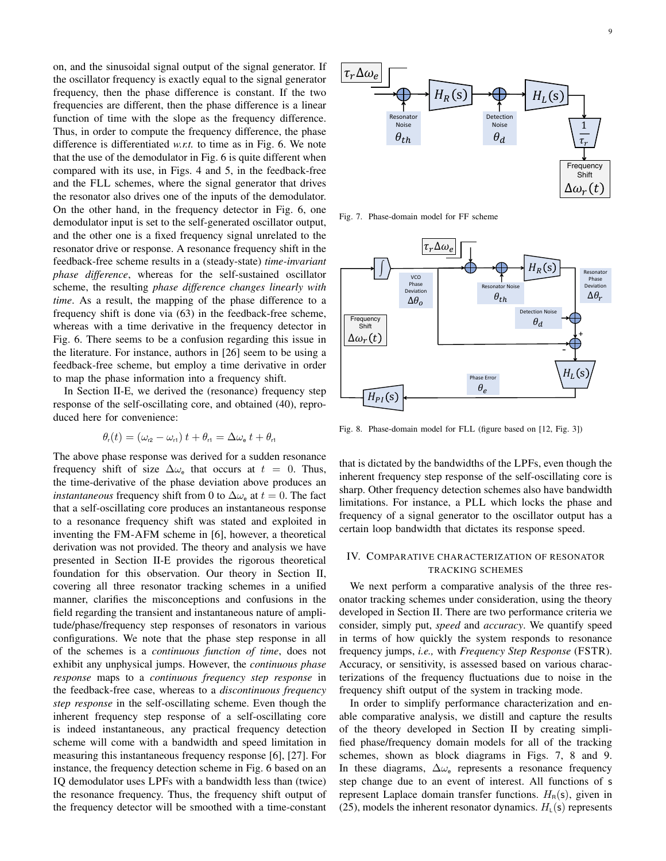on, and the sinusoidal signal output of the signal generator. If the oscillator frequency is exactly equal to the signal generator frequency, then the phase difference is constant. If the two frequencies are different, then the phase difference is a linear function of time with the slope as the frequency difference. Thus, in order to compute the frequency difference, the phase difference is differentiated *w.r.t.* to time as in Fig. [6.](#page-7-1) We note that the use of the demodulator in Fig. [6](#page-7-1) is quite different when compared with its use, in Figs. [4](#page-6-2) and [5,](#page-7-0) in the feedback-free and the FLL schemes, where the signal generator that drives the resonator also drives one of the inputs of the demodulator. On the other hand, in the frequency detector in Fig. [6,](#page-7-1) one demodulator input is set to the self-generated oscillator output, and the other one is a fixed frequency signal unrelated to the resonator drive or response. A resonance frequency shift in the feedback-free scheme results in a (steady-state) *time-invariant phase difference*, whereas for the self-sustained oscillator scheme, the resulting *phase difference changes linearly with time*. As a result, the mapping of the phase difference to a frequency shift is done via [\(63\)](#page-6-3) in the feedback-free scheme, whereas with a time derivative in the frequency detector in Fig. [6.](#page-7-1) There seems to be a confusion regarding this issue in the literature. For instance, authors in [\[26\]](#page-13-18) seem to be using a feedback-free scheme, but employ a time derivative in order to map the phase information into a frequency shift.

In Section [II-E,](#page-4-8) we derived the (resonance) frequency step response of the self-oscillating core, and obtained [\(40\)](#page-4-9), reproduced here for convenience:

$$
\theta_{\rm r}(t) = (\omega_{\rm r2} - \omega_{\rm r1}) t + \theta_{\rm r1} = \Delta \omega_{\rm e} t + \theta_{\rm r1}
$$

The above phase response was derived for a sudden resonance frequency shift of size  $\Delta\omega_e$  that occurs at  $t = 0$ . Thus, the time-derivative of the phase deviation above produces an *instantaneous* frequency shift from 0 to  $\Delta \omega_e$  at  $t = 0$ . The fact that a self-oscillating core produces an instantaneous response to a resonance frequency shift was stated and exploited in inventing the FM-AFM scheme in [\[6\]](#page-13-1), however, a theoretical derivation was not provided. The theory and analysis we have presented in Section [II-E](#page-4-8) provides the rigorous theoretical foundation for this observation. Our theory in Section [II,](#page-1-2) covering all three resonator tracking schemes in a unified manner, clarifies the misconceptions and confusions in the field regarding the transient and instantaneous nature of amplitude/phase/frequency step responses of resonators in various configurations. We note that the phase step response in all of the schemes is a *continuous function of time*, does not exhibit any unphysical jumps. However, the *continuous phase response* maps to a *continuous frequency step response* in the feedback-free case, whereas to a *discontinuous frequency step response* in the self-oscillating scheme. Even though the inherent frequency step response of a self-oscillating core is indeed instantaneous, any practical frequency detection scheme will come with a bandwidth and speed limitation in measuring this instantaneous frequency response [\[6\]](#page-13-1), [\[27\]](#page-13-19). For instance, the frequency detection scheme in Fig. [6](#page-7-1) based on an IQ demodulator uses LPFs with a bandwidth less than (twice) the resonance frequency. Thus, the frequency shift output of the frequency detector will be smoothed with a time-constant



<span id="page-8-1"></span>Fig. 7. Phase-domain model for FF scheme



<span id="page-8-2"></span>Fig. 8. Phase-domain model for FLL (figure based on [\[12,](#page-13-4) Fig. 3])

that is dictated by the bandwidths of the LPFs, even though the inherent frequency step response of the self-oscillating core is sharp. Other frequency detection schemes also have bandwidth limitations. For instance, a PLL which locks the phase and frequency of a signal generator to the oscillator output has a certain loop bandwidth that dictates its response speed.

# <span id="page-8-0"></span>IV. COMPARATIVE CHARACTERIZATION OF RESONATOR TRACKING SCHEMES

We next perform a comparative analysis of the three resonator tracking schemes under consideration, using the theory developed in Section [II.](#page-1-2) There are two performance criteria we consider, simply put, *speed* and *accuracy*. We quantify speed in terms of how quickly the system responds to resonance frequency jumps, *i.e.,* with *Frequency Step Response* (FSTR). Accuracy, or sensitivity, is assessed based on various characterizations of the frequency fluctuations due to noise in the frequency shift output of the system in tracking mode.

In order to simplify performance characterization and enable comparative analysis, we distill and capture the results of the theory developed in Section [II](#page-1-2) by creating simplified phase/frequency domain models for all of the tracking schemes, shown as block diagrams in Figs. [7,](#page-8-1) [8](#page-8-2) and [9.](#page-9-0) In these diagrams,  $\Delta\omega_e$  represents a resonance frequency step change due to an event of interest. All functions of s represent Laplace domain transfer functions.  $H_R(s)$ , given in [\(25\)](#page-3-7), models the inherent resonator dynamics.  $H_{\text{L}}(\text{s})$  represents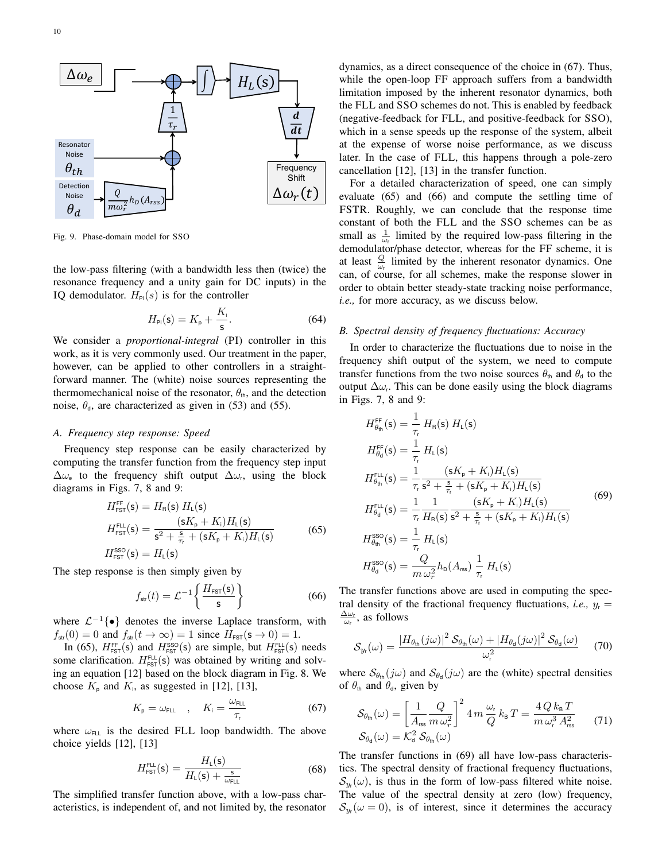

<span id="page-9-0"></span>Fig. 9. Phase-domain model for SSO

the low-pass filtering (with a bandwidth less then (twice) the resonance frequency and a unity gain for DC inputs) in the IQ demodulator.  $H_{Pl}(s)$  is for the controller

$$
H_{\rm Pl}(s) = K_{\rm p} + \frac{K_{\rm i}}{s}.
$$
 (64)

We consider a *proportional-integral* (PI) controller in this work, as it is very commonly used. Our treatment in the paper, however, can be applied to other controllers in a straightforward manner. The (white) noise sources representing the thermomechanical noise of the resonator,  $\theta_{\text{th}}$ , and the detection noise,  $\theta_{d}$ , are characterized as given in [\(53\)](#page-5-4) and [\(55\)](#page-5-7).

#### <span id="page-9-7"></span>*A. Frequency step response: Speed*

Frequency step response can be easily characterized by computing the transfer function from the frequency step input  $\Delta\omega_e$  to the frequency shift output  $\Delta\omega_r$ , using the block diagrams in Figs. [7,](#page-8-1) [8](#page-8-2) and [9:](#page-9-0)

<span id="page-9-1"></span>
$$
H_{\text{FST}}^{\text{FF}}(\mathsf{s}) = H_{\text{R}}(\mathsf{s}) H_{\text{L}}(\mathsf{s})
$$
  
\n
$$
H_{\text{FST}}^{\text{FL}}(\mathsf{s}) = \frac{(\mathsf{s}K_{\text{p}} + K_{\text{i}})H_{\text{L}}(\mathsf{s})}{\mathsf{s}^{2} + \frac{\mathsf{s}}{\tau_{\text{r}}} + (\mathsf{s}K_{\text{p}} + K_{\text{i}})H_{\text{L}}(\mathsf{s})}
$$
(65)  
\n
$$
H_{\text{FST}}^{\text{SSO}}(\mathsf{s}) = H_{\text{L}}(\mathsf{s})
$$

The step response is then simply given by

<span id="page-9-3"></span>
$$
f_{\rm str}(t) = \mathcal{L}^{-1}\left\{\frac{H_{\rm FST}(\mathbf{s})}{\mathbf{s}}\right\} \tag{66}
$$

where  $\mathcal{L}^{-1}\{\bullet\}$  denotes the inverse Laplace transform, with  $f_{\text{str}}(0) = 0$  and  $f_{\text{str}}(t \to \infty) = 1$  since  $H_{\text{FST}}(s \to 0) = 1$ .

In [\(65\)](#page-9-1),  $H_{\text{FST}}^{\text{FF}}(\mathsf{s})$  and  $H_{\text{FST}}^{\text{SSO}}(\mathsf{s})$  are simple, but  $H_{\text{FST}}^{\text{FLL}}(\mathsf{s})$  needs some clarification.  $H_{\text{FST}}^{\text{FLL}}(\mathsf{s})$  was obtained by writing and solving an equation [\[12\]](#page-13-4) based on the block diagram in Fig. [8.](#page-8-2) We choose  $K_{\text{p}}$  and  $K_{\text{i}}$ , as suggested in [\[12\]](#page-13-4), [\[13\]](#page-13-13),

<span id="page-9-2"></span>
$$
K_{\rm p} = \omega_{\rm FLL} \quad , \quad K_{\rm i} = \frac{\omega_{\rm FLL}}{\tau_{\rm r}} \tag{67}
$$

where  $\omega_{F\perp}$  is the desired FLL loop bandwidth. The above choice yields [\[12\]](#page-13-4), [\[13\]](#page-13-13)

<span id="page-9-8"></span>
$$
H_{\text{FST}}^{\text{FLL}}(\mathsf{s}) = \frac{H_{\text{L}}(\mathsf{s})}{H_{\text{L}}(\mathsf{s}) + \frac{\mathsf{s}}{\omega_{\text{FLL}}}}
$$
(68)

The simplified transfer function above, with a low-pass characteristics, is independent of, and not limited by, the resonator

dynamics, as a direct consequence of the choice in [\(67\)](#page-9-2). Thus, while the open-loop FF approach suffers from a bandwidth limitation imposed by the inherent resonator dynamics, both the FLL and SSO schemes do not. This is enabled by feedback (negative-feedback for FLL, and positive-feedback for SSO), which in a sense speeds up the response of the system, albeit at the expense of worse noise performance, as we discuss later. In the case of FLL, this happens through a pole-zero cancellation [\[12\]](#page-13-4), [\[13\]](#page-13-13) in the transfer function.

For a detailed characterization of speed, one can simply evaluate [\(65\)](#page-9-1) and [\(66\)](#page-9-3) and compute the settling time of FSTR. Roughly, we can conclude that the response time constant of both the FLL and the SSO schemes can be as small as  $\frac{1}{\omega_r}$  limited by the required low-pass filtering in the demodulator/phase detector, whereas for the FF scheme, it is at least  $\frac{Q}{\omega_r}$  limited by the inherent resonator dynamics. One can, of course, for all schemes, make the response slower in order to obtain better steady-state tracking noise performance, *i.e.,* for more accuracy, as we discuss below.

## <span id="page-9-9"></span>*B. Spectral density of frequency fluctuations: Accuracy*

In order to characterize the fluctuations due to noise in the frequency shift output of the system, we need to compute transfer functions from the two noise sources  $\theta_{\text{th}}$  and  $\theta_{\text{d}}$  to the output  $\Delta\omega_r$ . This can be done easily using the block diagrams in Figs. [7,](#page-8-1) [8](#page-8-2) and [9:](#page-9-0)

<span id="page-9-4"></span>
$$
H_{\theta_{\rm th}}^{\rm FF}(s) = \frac{1}{\tau_{\rm r}} H_{\rm R}(s) H_{\rm L}(s)
$$
  
\n
$$
H_{\theta_{\rm d}}^{\rm FF}(s) = \frac{1}{\tau_{\rm r}} H_{\rm L}(s)
$$
  
\n
$$
H_{\theta_{\rm th}}^{\rm FLL}(s) = \frac{1}{\tau_{\rm r}} \frac{(sK_{\rm p} + K_{\rm i})H_{\rm L}(s)}{s^2 + \frac{s}{\tau_{\rm r}} + (sK_{\rm p} + K_{\rm i})H_{\rm L}(s)}
$$
  
\n
$$
H_{\theta_{\rm d}}^{\rm FLL}(s) = \frac{1}{\tau_{\rm r}} \frac{1}{H_{\rm R}(s)} \frac{(sK_{\rm p} + K_{\rm i})H_{\rm L}(s)}{s^2 + \frac{s}{\tau_{\rm r}} + (sK_{\rm p} + K_{\rm i})H_{\rm L}(s)}
$$
  
\n
$$
H_{\theta_{\rm th}}^{\rm SSO}(s) = \frac{1}{\tau_{\rm r}} H_{\rm L}(s)
$$
  
\n
$$
H_{\theta_{\rm d}}^{\rm SSO}(s) = \frac{Q}{m \omega_{\rm r}^2} h_{\rm D}(A_{\rm rss}) \frac{1}{\tau_{\rm r}} H_{\rm L}(s)
$$
\n(69)

The transfer functions above are used in computing the spectral density of the fractional frequency fluctuations, *i.e.*,  $y_r =$  $\frac{\Delta\omega_r}{\omega_r}$ , as follows

<span id="page-9-5"></span>
$$
S_{y_{\rm r}}(\omega) = \frac{|H_{\theta_{\rm th}}(j\omega)|^2 S_{\theta_{\rm th}}(\omega) + |H_{\theta_{\rm d}}(j\omega)|^2 S_{\theta_{\rm d}}(\omega)}{\omega_{\rm r}^2} \tag{70}
$$

where  $S_{\theta_{\text{th}}}(j\omega)$  and  $S_{\theta_{\text{d}}}(j\omega)$  are the (white) spectral densities of  $\theta_{\text{th}}$  and  $\theta_{\text{d}}$ , given by

<span id="page-9-6"></span>
$$
S_{\theta_{\rm th}}(\omega) = \left[\frac{1}{A_{\rm res}}\frac{Q}{m\,\omega_r^2}\right]^2 4 m \frac{\omega_r}{Q} k_{\rm B} T = \frac{4\,Q k_{\rm B} T}{m\,\omega_r^3 A_{\rm res}^2} \tag{71}
$$

$$
S_{\theta_{\rm d}}(\omega) = \mathcal{K}_{\rm d}^2 \,\mathcal{S}_{\theta_{\rm th}}(\omega)
$$

The transfer functions in [\(69\)](#page-9-4) all have low-pass characteristics. The spectral density of fractional frequency fluctuations,  $\mathcal{S}_{y_{r}}(\omega)$ , is thus in the form of low-pass filtered white noise. The value of the spectral density at zero (low) frequency,  $S_{y}(\omega = 0)$ , is of interest, since it determines the accuracy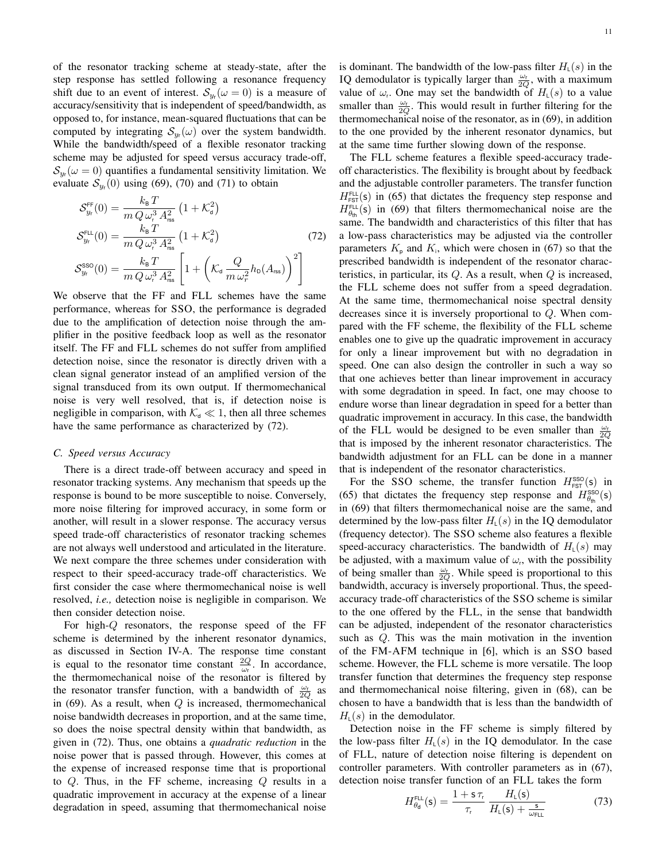of the resonator tracking scheme at steady-state, after the step response has settled following a resonance frequency shift due to an event of interest.  $S_{y_r}(\omega = 0)$  is a measure of accuracy/sensitivity that is independent of speed/bandwidth, as opposed to, for instance, mean-squared fluctuations that can be computed by integrating  $S_{y_r}(\omega)$  over the system bandwidth. While the bandwidth/speed of a flexible resonator tracking scheme may be adjusted for speed versus accuracy trade-off,  $\mathcal{S}_{y_r}(\omega=0)$  quantifies a fundamental sensitivity limitation. We evaluate  $S_{y_r}(0)$  using [\(69\)](#page-9-4), [\(70\)](#page-9-5) and [\(71\)](#page-9-6) to obtain

$$
S_{y_r}^{\text{FF}}(0) = \frac{k_{\text{B}} T}{m Q \omega_r^3 A_{\text{rss}}^2} (1 + \mathcal{K}_d^2)
$$
  
\n
$$
S_{y_r}^{\text{FL}}(0) = \frac{k_{\text{B}} T}{m Q \omega_r^3 A_{\text{rss}}^2} (1 + \mathcal{K}_d^2)
$$
  
\n
$$
S_{y_r}^{\text{SSO}}(0) = \frac{k_{\text{B}} T}{m Q \omega_r^3 A_{\text{rss}}^2} \left[ 1 + \left( \mathcal{K}_d \frac{Q}{m \omega_r^2} h_0(A_{\text{rss}}) \right)^2 \right]
$$
\n(72)

We observe that the FF and FLL schemes have the same performance, whereas for SSO, the performance is degraded due to the amplification of detection noise through the amplifier in the positive feedback loop as well as the resonator itself. The FF and FLL schemes do not suffer from amplified detection noise, since the resonator is directly driven with a clean signal generator instead of an amplified version of the signal transduced from its own output. If thermomechanical noise is very well resolved, that is, if detection noise is negligible in comparison, with  $K_d \ll 1$ , then all three schemes have the same performance as characterized by [\(72\)](#page-10-0).

## *C. Speed versus Accuracy*

There is a direct trade-off between accuracy and speed in resonator tracking systems. Any mechanism that speeds up the response is bound to be more susceptible to noise. Conversely, more noise filtering for improved accuracy, in some form or another, will result in a slower response. The accuracy versus speed trade-off characteristics of resonator tracking schemes are not always well understood and articulated in the literature. We next compare the three schemes under consideration with respect to their speed-accuracy trade-off characteristics. We first consider the case where thermomechanical noise is well resolved, *i.e.,* detection noise is negligible in comparison. We then consider detection noise.

For high-Q resonators, the response speed of the FF scheme is determined by the inherent resonator dynamics, as discussed in Section [IV-A.](#page-9-7) The response time constant is equal to the resonator time constant  $\frac{2Q}{\omega_r}$ . In accordance, the thermomechanical noise of the resonator is filtered by the resonator transfer function, with a bandwidth of  $\frac{\omega_r}{2Q}$  as in [\(69\)](#page-9-4). As a result, when  $Q$  is increased, thermomechanical noise bandwidth decreases in proportion, and at the same time, so does the noise spectral density within that bandwidth, as given in [\(72\)](#page-10-0). Thus, one obtains a *quadratic reduction* in the noise power that is passed through. However, this comes at the expense of increased response time that is proportional to  $Q$ . Thus, in the FF scheme, increasing  $Q$  results in a quadratic improvement in accuracy at the expense of a linear degradation in speed, assuming that thermomechanical noise is dominant. The bandwidth of the low-pass filter  $H_{L}(s)$  in the IQ demodulator is typically larger than  $\frac{\omega_r}{2Q}$ , with a maximum value of  $\omega_r$ . One may set the bandwidth of  $H_{\mathcal{L}}(s)$  to a value smaller than  $\frac{\omega_r}{2Q}$ . This would result in further filtering for the thermomechanical noise of the resonator, as in [\(69\)](#page-9-4), in addition to the one provided by the inherent resonator dynamics, but at the same time further slowing down of the response.

<span id="page-10-0"></span>The FLL scheme features a flexible speed-accuracy tradeoff characteristics. The flexibility is brought about by feedback and the adjustable controller parameters. The transfer function  $H_{\text{FST}}^{\text{FLL}}(\text{s})$  in [\(65\)](#page-9-1) that dictates the frequency step response and  $H_{\theta_{\text{th}}}^{\text{FLL}}(\text{s})$  in [\(69\)](#page-9-4) that filters thermomechanical noise are the same. The bandwidth and characteristics of this filter that has a low-pass characteristics may be adjusted via the controller parameters  $K_{\text{p}}$  and  $K_{\text{i}}$ , which were chosen in [\(67\)](#page-9-2) so that the prescribed bandwidth is independent of the resonator characteristics, in particular, its  $Q$ . As a result, when  $Q$  is increased, the FLL scheme does not suffer from a speed degradation. At the same time, thermomechanical noise spectral density decreases since it is inversely proportional to Q. When compared with the FF scheme, the flexibility of the FLL scheme enables one to give up the quadratic improvement in accuracy for only a linear improvement but with no degradation in speed. One can also design the controller in such a way so that one achieves better than linear improvement in accuracy with some degradation in speed. In fact, one may choose to endure worse than linear degradation in speed for a better than quadratic improvement in accuracy. In this case, the bandwidth of the FLL would be designed to be even smaller than  $\frac{\omega_r}{2Q}$ that is imposed by the inherent resonator characteristics. The bandwidth adjustment for an FLL can be done in a manner that is independent of the resonator characteristics.

For the SSO scheme, the transfer function  $H_{\text{FST}}^{\text{SSO}}(\mathsf{s})$  in [\(65\)](#page-9-1) that dictates the frequency step response and  $H_{\theta_{\text{th}}}^{\text{SSO}}(s)$ in [\(69\)](#page-9-4) that filters thermomechanical noise are the same, and determined by the low-pass filter  $H_{L}(s)$  in the IQ demodulator (frequency detector). The SSO scheme also features a flexible speed-accuracy characteristics. The bandwidth of  $H_{L}(s)$  may be adjusted, with a maximum value of  $\omega_r$ , with the possibility of being smaller than  $\frac{\omega_r}{2Q}$ . While speed is proportional to this bandwidth, accuracy is inversely proportional. Thus, the speedaccuracy trade-off characteristics of the SSO scheme is similar to the one offered by the FLL, in the sense that bandwidth can be adjusted, independent of the resonator characteristics such as Q. This was the main motivation in the invention of the FM-AFM technique in [\[6\]](#page-13-1), which is an SSO based scheme. However, the FLL scheme is more versatile. The loop transfer function that determines the frequency step response and thermomechanical noise filtering, given in [\(68\)](#page-9-8), can be chosen to have a bandwidth that is less than the bandwidth of  $H_{\perp}(s)$  in the demodulator.

Detection noise in the FF scheme is simply filtered by the low-pass filter  $H_{L}(s)$  in the IQ demodulator. In the case of FLL, nature of detection noise filtering is dependent on controller parameters. With controller parameters as in [\(67\)](#page-9-2), detection noise transfer function of an FLL takes the form

$$
H_{\theta_d}^{\text{FL}}(\mathsf{s}) = \frac{1 + \mathsf{s} \,\tau_{\text{r}}}{\tau_{\text{r}}} \, \frac{H_{\text{L}}(\mathsf{s})}{H_{\text{L}}(\mathsf{s}) + \frac{\mathsf{s}}{\omega_{\text{FLL}}}} \tag{73}
$$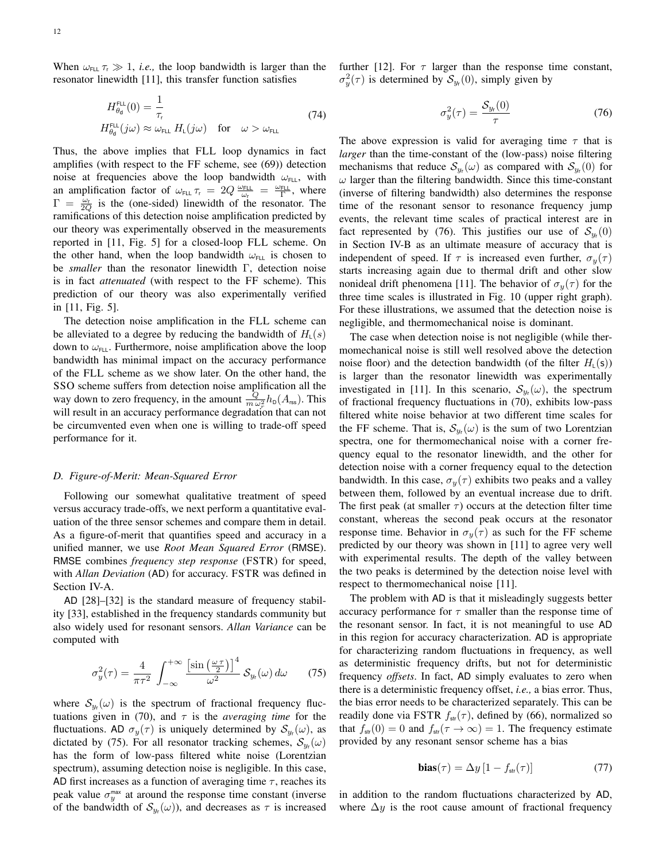When  $\omega_{\text{FLL}} \tau_{\text{r}} \gg 1$ , *i.e.*, the loop bandwidth is larger than the resonator linewidth [\[11\]](#page-13-3), this transfer function satisfies

$$
H_{\theta_d}^{\text{FLL}}(0) = \frac{1}{\tau_r}
$$
  
\n
$$
H_{\theta_d}^{\text{FLL}}(j\omega) \approx \omega_{\text{FLL}} H_{\text{L}}(j\omega) \quad \text{for} \quad \omega > \omega_{\text{FLL}}
$$
\n(74)

Thus, the above implies that FLL loop dynamics in fact amplifies (with respect to the FF scheme, see [\(69\)](#page-9-4)) detection noise at frequencies above the loop bandwidth  $\omega_{FLL}$ , with an amplification factor of  $\omega_{FLL} \tau_r = 2Q \frac{\omega_{FLL}}{\omega_f} = \frac{\omega_{FLL}}{\Gamma}$ , where  $\Gamma = \frac{\omega_r}{2Q}$  is the (one-sided) linewidth of the resonator. The ramifications of this detection noise amplification predicted by our theory was experimentally observed in the measurements reported in [\[11,](#page-13-3) Fig. 5] for a closed-loop FLL scheme. On the other hand, when the loop bandwidth  $\omega_{FLL}$  is chosen to be *smaller* than the resonator linewidth Γ, detection noise is in fact *attenuated* (with respect to the FF scheme). This prediction of our theory was also experimentally verified in [\[11,](#page-13-3) Fig. 5].

The detection noise amplification in the FLL scheme can be alleviated to a degree by reducing the bandwidth of  $H_{L}(s)$ down to  $\omega_{FLL}$ . Furthermore, noise amplification above the loop bandwidth has minimal impact on the accuracy performance of the FLL scheme as we show later. On the other hand, the SSO scheme suffers from detection noise amplification all the way down to zero frequency, in the amount  $\frac{Q}{m \omega_r^2} h_0(A_{\text{rss}})$ . This will result in an accuracy performance degradation that can not be circumvented even when one is willing to trade-off speed performance for it.

#### *D. Figure-of-Merit: Mean-Squared Error*

Following our somewhat qualitative treatment of speed versus accuracy trade-offs, we next perform a quantitative evaluation of the three sensor schemes and compare them in detail. As a figure-of-merit that quantifies speed and accuracy in a unified manner, we use *Root Mean Squared Error* (RMSE). RMSE combines *frequency step response* (FSTR) for speed, with *Allan Deviation* (AD) for accuracy. FSTR was defined in Section [IV-A.](#page-9-7)

AD [\[28\]](#page-13-20)–[\[32\]](#page-13-21) is the standard measure of frequency stability [\[33\]](#page-13-22), established in the frequency standards community but also widely used for resonant sensors. *Allan Variance* can be computed with

<span id="page-11-0"></span>
$$
\sigma_y^2(\tau) = \frac{4}{\pi \tau^2} \int_{-\infty}^{+\infty} \frac{\left[\sin\left(\frac{\omega \tau}{2}\right)\right]^4}{\omega^2} \, \mathcal{S}_{y_r}(\omega) \, d\omega \qquad (75)
$$

where  $S_{y_r}(\omega)$  is the spectrum of fractional frequency fluc-tuations given in [\(70\)](#page-9-5), and  $\tau$  is the *averaging time* for the fluctuations. AD  $\sigma_y(\tau)$  is uniquely determined by  $\mathcal{S}_{y_r}(\omega)$ , as dictated by [\(75\)](#page-11-0). For all resonator tracking schemes,  $S_{y_r}(\omega)$ has the form of low-pass filtered white noise (Lorentzian spectrum), assuming detection noise is negligible. In this case, AD first increases as a function of averaging time  $\tau$ , reaches its peak value  $\sigma_y^{\text{max}}$  at around the response time constant (inverse of the bandwidth of  $S_{y_r}(\omega)$ , and decreases as  $\tau$  is increased further [\[12\]](#page-13-4). For  $\tau$  larger than the response time constant,  $\sigma_y^2(\tau)$  is determined by  $\mathcal{S}_{y_r}(0)$ , simply given by

<span id="page-11-1"></span>
$$
\sigma_y^2(\tau) = \frac{\mathcal{S}_{y_r}(0)}{\tau} \tag{76}
$$

The above expression is valid for averaging time  $\tau$  that is *larger* than the time-constant of the (low-pass) noise filtering mechanisms that reduce  $S_{y_r}(\omega)$  as compared with  $S_{y_r}(0)$  for  $\omega$  larger than the filtering bandwidth. Since this time-constant (inverse of filtering bandwidth) also determines the response time of the resonant sensor to resonance frequency jump events, the relevant time scales of practical interest are in fact represented by [\(76\)](#page-11-1). This justifies our use of  $S_{y_r}(0)$ in Section [IV-B](#page-9-9) as an ultimate measure of accuracy that is independent of speed. If  $\tau$  is increased even further,  $\sigma_y(\tau)$ starts increasing again due to thermal drift and other slow nonideal drift phenomena [\[11\]](#page-13-3). The behavior of  $\sigma_y(\tau)$  for the three time scales is illustrated in Fig. [10](#page-12-1) (upper right graph). For these illustrations, we assumed that the detection noise is negligible, and thermomechanical noise is dominant.

The case when detection noise is not negligible (while thermomechanical noise is still well resolved above the detection noise floor) and the detection bandwidth (of the filter  $H_{\perp}(s)$ ) is larger than the resonator linewidth was experimentally investigated in [\[11\]](#page-13-3). In this scenario,  $S_{y_r}(\omega)$ , the spectrum of fractional frequency fluctuations in [\(70\)](#page-9-5), exhibits low-pass filtered white noise behavior at two different time scales for the FF scheme. That is,  $S_{y_r}(\omega)$  is the sum of two Lorentzian spectra, one for thermomechanical noise with a corner frequency equal to the resonator linewidth, and the other for detection noise with a corner frequency equal to the detection bandwidth. In this case,  $\sigma_y(\tau)$  exhibits two peaks and a valley between them, followed by an eventual increase due to drift. The first peak (at smaller  $\tau$ ) occurs at the detection filter time constant, whereas the second peak occurs at the resonator response time. Behavior in  $\sigma_y(\tau)$  as such for the FF scheme predicted by our theory was shown in [\[11\]](#page-13-3) to agree very well with experimental results. The depth of the valley between the two peaks is determined by the detection noise level with respect to thermomechanical noise [\[11\]](#page-13-3).

The problem with AD is that it misleadingly suggests better accuracy performance for  $\tau$  smaller than the response time of the resonant sensor. In fact, it is not meaningful to use AD in this region for accuracy characterization. AD is appropriate for characterizing random fluctuations in frequency, as well as deterministic frequency drifts, but not for deterministic frequency *offsets*. In fact, AD simply evaluates to zero when there is a deterministic frequency offset, *i.e.,* a bias error. Thus, the bias error needs to be characterized separately. This can be readily done via FSTR  $f_{\text{str}}(\tau)$ , defined by [\(66\)](#page-9-3), normalized so that  $f_{\text{str}}(0) = 0$  and  $f_{\text{str}}(\tau \to \infty) = 1$ . The frequency estimate provided by any resonant sensor scheme has a bias

$$
\mathbf{bias}(\tau) = \Delta y \left[ 1 - f_{\text{str}}(\tau) \right] \tag{77}
$$

in addition to the random fluctuations characterized by AD, where  $\Delta y$  is the root cause amount of fractional frequency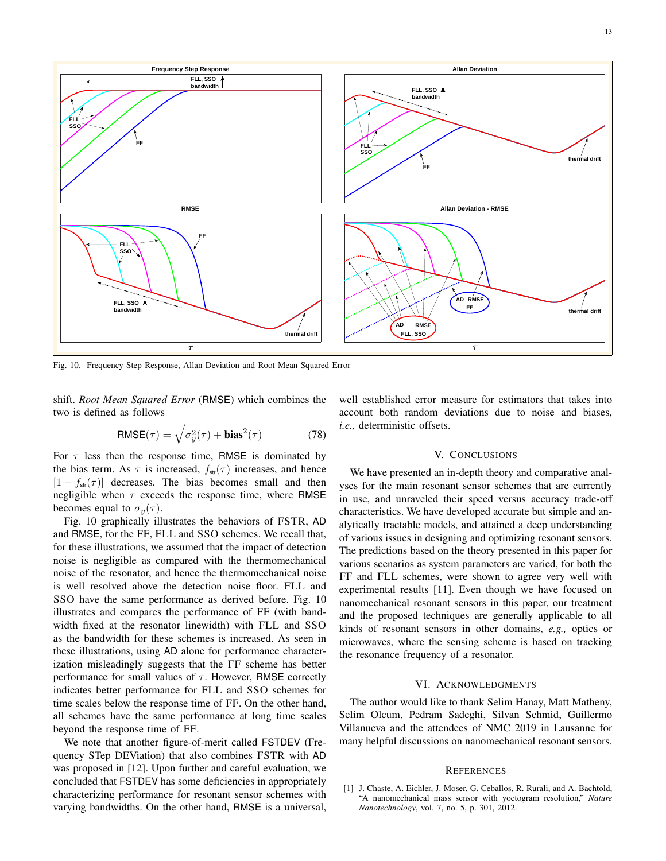13



<span id="page-12-1"></span>Fig. 10. Frequency Step Response, Allan Deviation and Root Mean Squared Error

shift. *Root Mean Squared Error* (RMSE) which combines the two is defined as follows

$$
RMSE(\tau) = \sqrt{\sigma_y^2(\tau) + bias^2(\tau)}
$$
 (78)

For  $\tau$  less then the response time, RMSE is dominated by the bias term. As  $\tau$  is increased,  $f_{\text{str}}(\tau)$  increases, and hence  $[1 - f_{\text{str}}(\tau)]$  decreases. The bias becomes small and then negligible when  $\tau$  exceeds the response time, where RMSE becomes equal to  $\sigma_y(\tau)$ .

Fig. [10](#page-12-1) graphically illustrates the behaviors of FSTR, AD and RMSE, for the FF, FLL and SSO schemes. We recall that, for these illustrations, we assumed that the impact of detection noise is negligible as compared with the thermomechanical noise of the resonator, and hence the thermomechanical noise is well resolved above the detection noise floor. FLL and SSO have the same performance as derived before. Fig. [10](#page-12-1) illustrates and compares the performance of FF (with bandwidth fixed at the resonator linewidth) with FLL and SSO as the bandwidth for these schemes is increased. As seen in these illustrations, using AD alone for performance characterization misleadingly suggests that the FF scheme has better performance for small values of  $\tau$ . However, RMSE correctly indicates better performance for FLL and SSO schemes for time scales below the response time of FF. On the other hand, all schemes have the same performance at long time scales beyond the response time of FF.

We note that another figure-of-merit called FSTDEV (Frequency STep DEViation) that also combines FSTR with AD was proposed in [\[12\]](#page-13-4). Upon further and careful evaluation, we concluded that FSTDEV has some deficiencies in appropriately characterizing performance for resonant sensor schemes with varying bandwidths. On the other hand, RMSE is a universal, well established error measure for estimators that takes into account both random deviations due to noise and biases, *i.e.,* deterministic offsets.

#### V. CONCLUSIONS

We have presented an in-depth theory and comparative analyses for the main resonant sensor schemes that are currently in use, and unraveled their speed versus accuracy trade-off characteristics. We have developed accurate but simple and analytically tractable models, and attained a deep understanding of various issues in designing and optimizing resonant sensors. The predictions based on the theory presented in this paper for various scenarios as system parameters are varied, for both the FF and FLL schemes, were shown to agree very well with experimental results [\[11\]](#page-13-3). Even though we have focused on nanomechanical resonant sensors in this paper, our treatment and the proposed techniques are generally applicable to all kinds of resonant sensors in other domains, *e.g.,* optics or microwaves, where the sensing scheme is based on tracking the resonance frequency of a resonator.

#### VI. ACKNOWLEDGMENTS

The author would like to thank Selim Hanay, Matt Matheny, Selim Olcum, Pedram Sadeghi, Silvan Schmid, Guillermo Villanueva and the attendees of NMC 2019 in Lausanne for many helpful discussions on nanomechanical resonant sensors.

## **REFERENCES**

<span id="page-12-0"></span><sup>[1]</sup> J. Chaste, A. Eichler, J. Moser, G. Ceballos, R. Rurali, and A. Bachtold, "A nanomechanical mass sensor with yoctogram resolution," *Nature Nanotechnology*, vol. 7, no. 5, p. 301, 2012.